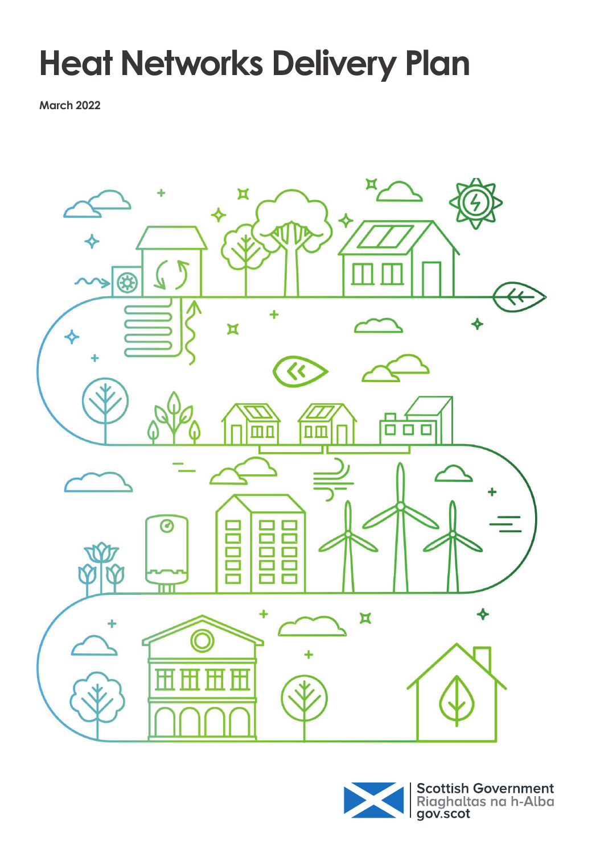# **Heat Networks Delivery Plan**

**March 2022**



Scottish Government<br>Riaghaltas na h-Alba<br>gov.scot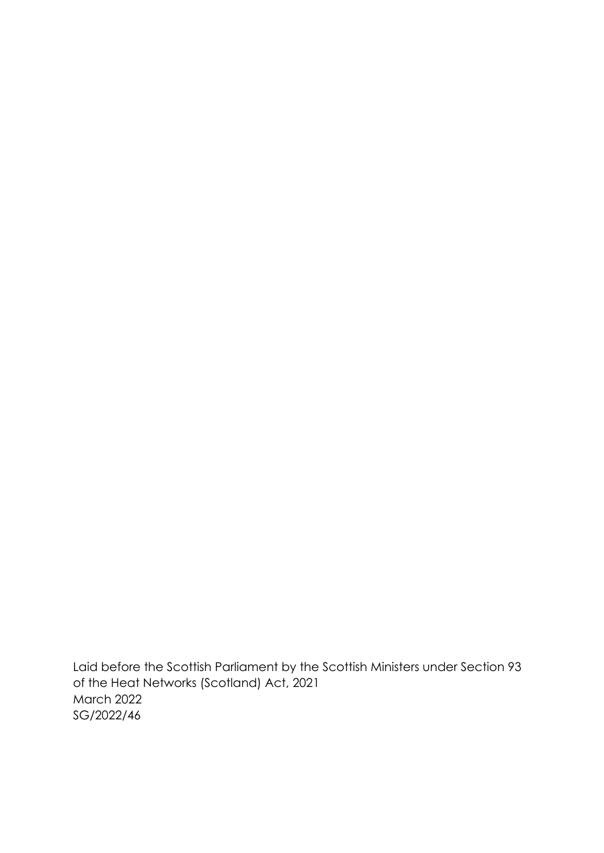Laid before the Scottish Parliament by the Scottish Ministers under Section 93 of the Heat Networks (Scotland) Act, 2021 March 2022 SG/2022/46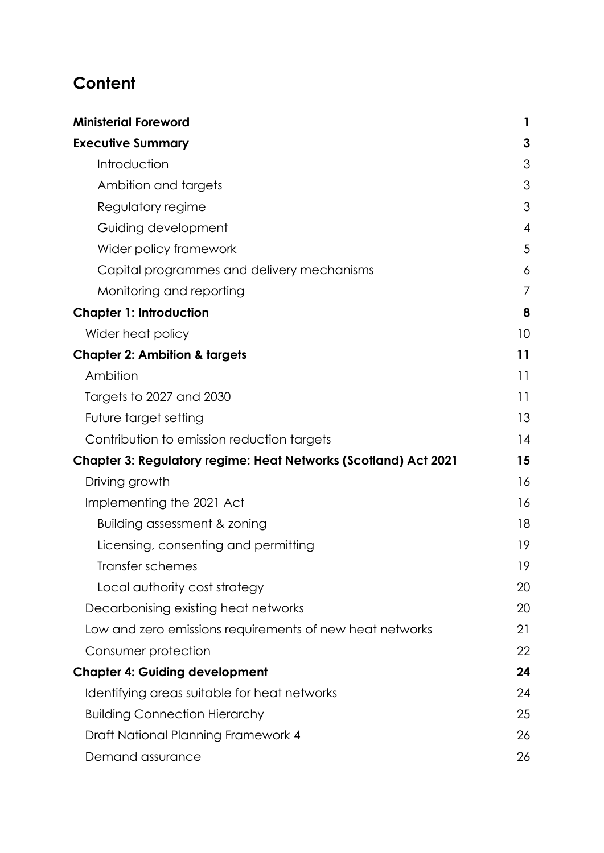# **Content**

| <b>Ministerial Foreword</b>                                     |                |
|-----------------------------------------------------------------|----------------|
| <b>Executive Summary</b>                                        | 3              |
| Introduction                                                    | 3              |
| Ambition and targets                                            | 3              |
| Regulatory regime                                               | 3              |
| Guiding development                                             | $\overline{4}$ |
| Wider policy framework                                          | 5              |
| Capital programmes and delivery mechanisms                      | 6              |
| Monitoring and reporting                                        | 7              |
| <b>Chapter 1: Introduction</b>                                  | 8              |
| Wider heat policy                                               | 10             |
| <b>Chapter 2: Ambition &amp; targets</b>                        | 11             |
| Ambition                                                        | 11             |
| Targets to 2027 and 2030                                        | 11             |
| Future target setting                                           | 13             |
| Contribution to emission reduction targets                      | 14             |
| Chapter 3: Regulatory regime: Heat Networks (Scotland) Act 2021 | 15             |
| Driving growth                                                  | 16             |
| Implementing the 2021 Act                                       | 16             |
| Building assessment & zoning                                    | 18             |
| Licensing, consenting and permitting                            | 19             |
| Transfer schemes                                                | 19             |
| Local authority cost strategy                                   | 20             |
| Decarbonising existing heat networks                            | 20             |
| Low and zero emissions requirements of new heat networks        | 21             |
| Consumer protection                                             | 22             |
| <b>Chapter 4: Guiding development</b>                           | 24             |
| Identifying areas suitable for heat networks                    | 24             |
| <b>Building Connection Hierarchy</b>                            | 25             |
| Draft National Planning Framework 4                             | 26             |
| Demand assurance                                                | 26             |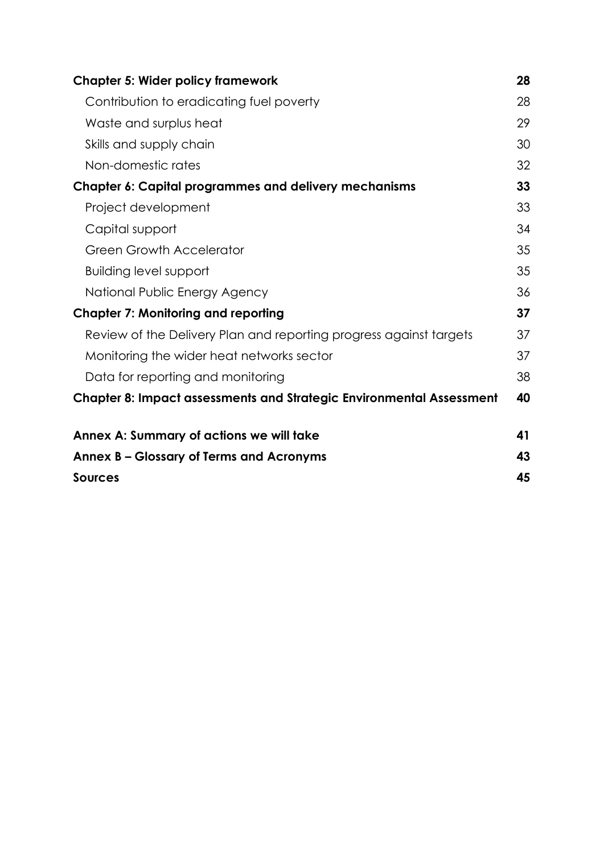| <b>Chapter 5: Wider policy framework</b>                                    | 28 |
|-----------------------------------------------------------------------------|----|
| Contribution to eradicating fuel poverty                                    | 28 |
| Waste and surplus heat                                                      | 29 |
| Skills and supply chain                                                     | 30 |
| Non-domestic rates                                                          | 32 |
| Chapter 6: Capital programmes and delivery mechanisms                       | 33 |
| Project development                                                         | 33 |
| Capital support                                                             | 34 |
| <b>Green Growth Accelerator</b>                                             | 35 |
| <b>Building level support</b>                                               | 35 |
| National Public Energy Agency                                               | 36 |
| <b>Chapter 7: Monitoring and reporting</b>                                  | 37 |
| Review of the Delivery Plan and reporting progress against targets          | 37 |
| Monitoring the wider heat networks sector                                   | 37 |
| Data for reporting and monitoring                                           | 38 |
| <b>Chapter 8: Impact assessments and Strategic Environmental Assessment</b> | 40 |
| Annex A: Summary of actions we will take                                    | 41 |
| Annex B – Glossary of Terms and Acronyms                                    | 43 |
| <b>Sources</b>                                                              | 45 |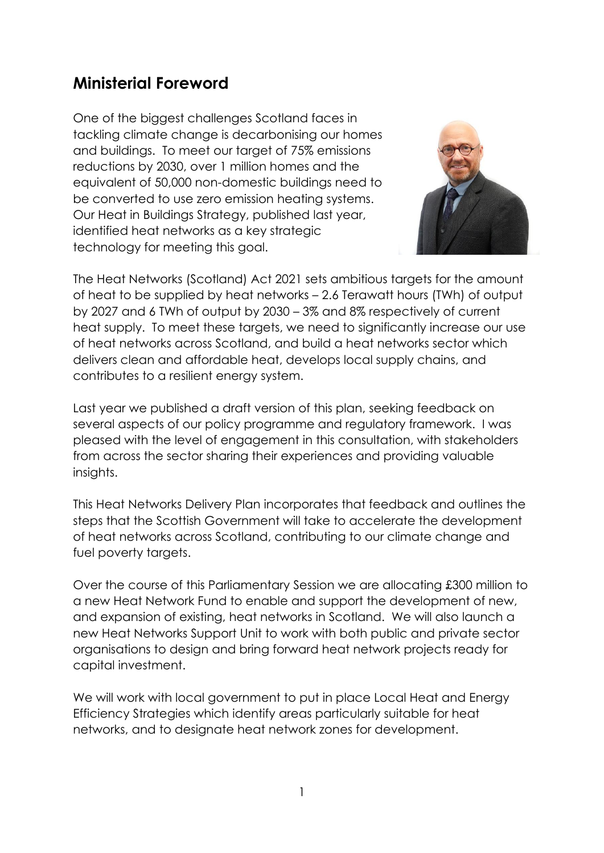# <span id="page-4-0"></span>**Ministerial Foreword**

One of the biggest challenges Scotland faces in tackling climate change is decarbonising our homes and buildings. To meet our target of 75% emissions reductions by 2030, over 1 million homes and the equivalent of 50,000 non-domestic buildings need to be converted to use zero emission heating systems. Our Heat in Buildings Strategy, published last year, identified heat networks as a key strategic technology for meeting this goal.



The Heat Networks (Scotland) Act 2021 sets ambitious targets for the amount of heat to be supplied by heat networks – 2.6 Terawatt hours (TWh) of output by 2027 and 6 TWh of output by 2030 – 3% and 8% respectively of current heat supply. To meet these targets, we need to significantly increase our use of heat networks across Scotland, and build a heat networks sector which delivers clean and affordable heat, develops local supply chains, and contributes to a resilient energy system.

Last year we published a draft version of this plan, seeking feedback on several aspects of our policy programme and regulatory framework. I was pleased with the level of engagement in this consultation, with stakeholders from across the sector sharing their experiences and providing valuable insights.

This Heat Networks Delivery Plan incorporates that feedback and outlines the steps that the Scottish Government will take to accelerate the development of heat networks across Scotland, contributing to our climate change and fuel poverty targets.

Over the course of this Parliamentary Session we are allocating £300 million to a new Heat Network Fund to enable and support the development of new, and expansion of existing, heat networks in Scotland. We will also launch a new Heat Networks Support Unit to work with both public and private sector organisations to design and bring forward heat network projects ready for capital investment.

We will work with local government to put in place Local Heat and Energy Efficiency Strategies which identify areas particularly suitable for heat networks, and to designate heat network zones for development.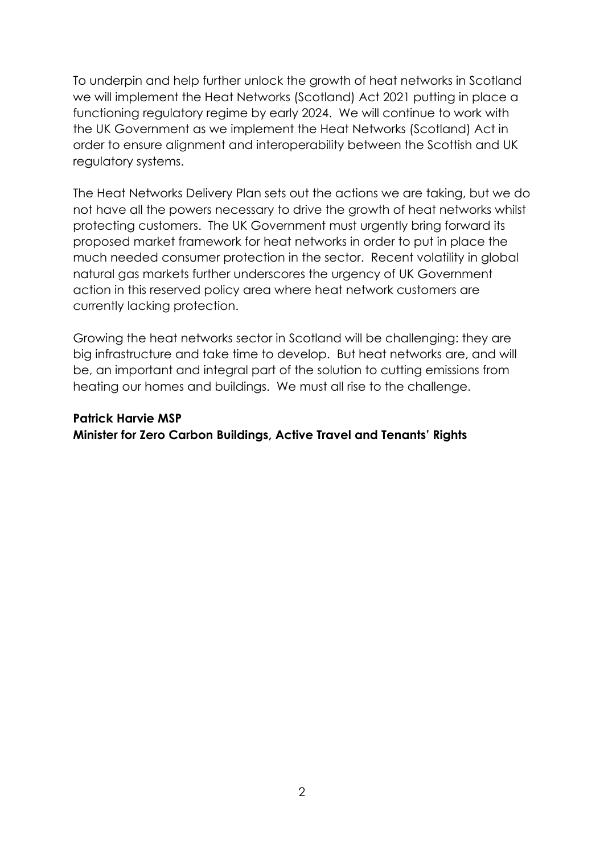To underpin and help further unlock the growth of heat networks in Scotland we will implement the Heat Networks (Scotland) Act 2021 putting in place a functioning regulatory regime by early 2024. We will continue to work with the UK Government as we implement the Heat Networks (Scotland) Act in order to ensure alignment and interoperability between the Scottish and UK regulatory systems.

The Heat Networks Delivery Plan sets out the actions we are taking, but we do not have all the powers necessary to drive the growth of heat networks whilst protecting customers. The UK Government must urgently bring forward its proposed market framework for heat networks in order to put in place the much needed consumer protection in the sector. Recent volatility in global natural gas markets further underscores the urgency of UK Government action in this reserved policy area where heat network customers are currently lacking protection.

Growing the heat networks sector in Scotland will be challenging: they are big infrastructure and take time to develop. But heat networks are, and will be, an important and integral part of the solution to cutting emissions from heating our homes and buildings. We must all rise to the challenge.

#### **Patrick Harvie MSP Minister for Zero Carbon Buildings, Active Travel and Tenants' Rights**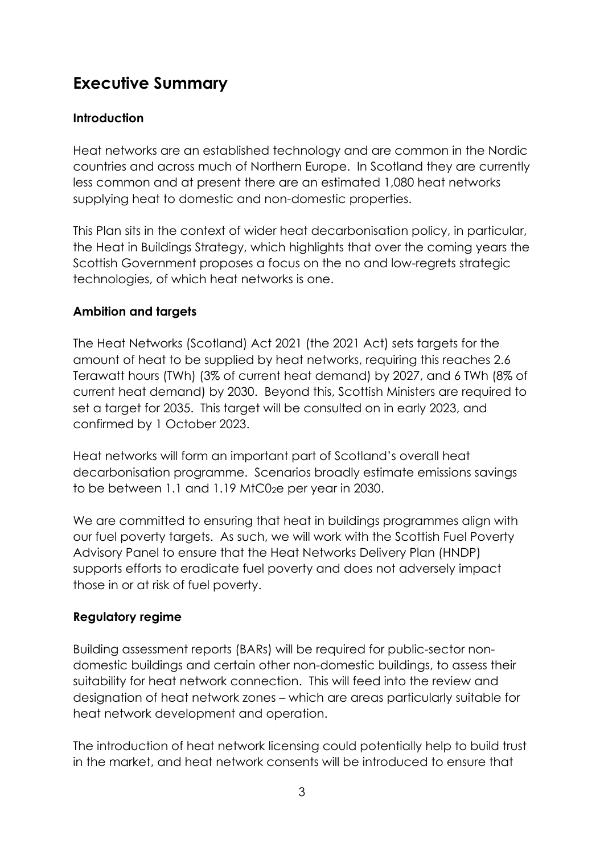# <span id="page-6-0"></span>**Executive Summary**

#### <span id="page-6-1"></span>**Introduction**

Heat networks are an established technology and are common in the Nordic countries and across much of Northern Europe. In Scotland they are currently less common and at present there are an estimated 1,080 heat networks supplying heat to domestic and non-domestic properties.

This Plan sits in the context of wider heat decarbonisation policy, in particular, the Heat in Buildings Strategy, which highlights that over the coming years the Scottish Government proposes a focus on the no and low-regrets strategic technologies, of which heat networks is one.

#### <span id="page-6-2"></span>**Ambition and targets**

The Heat Networks (Scotland) Act 2021 (the 2021 Act) sets targets for the amount of heat to be supplied by heat networks, requiring this reaches 2.6 Terawatt hours (TWh) (3% of current heat demand) by 2027, and 6 TWh (8% of current heat demand) by 2030. Beyond this, Scottish Ministers are required to set a target for 2035. This target will be consulted on in early 2023, and confirmed by 1 October 2023.

Heat networks will form an important part of Scotland's overall heat decarbonisation programme. Scenarios broadly estimate emissions savings to be between 1.1 and 1.19  $MCO<sub>2</sub>e$  per year in 2030.

We are committed to ensuring that heat in buildings programmes align with our fuel poverty targets. As such, we will work with the Scottish Fuel Poverty Advisory Panel to ensure that the Heat Networks Delivery Plan (HNDP) supports efforts to eradicate fuel poverty and does not adversely impact those in or at risk of fuel poverty.

#### <span id="page-6-3"></span>**Regulatory regime**

Building assessment reports (BARs) will be required for public-sector nondomestic buildings and certain other non-domestic buildings, to assess their suitability for heat network connection. This will feed into the review and designation of heat network zones – which are areas particularly suitable for heat network development and operation.

The introduction of heat network licensing could potentially help to build trust in the market, and heat network consents will be introduced to ensure that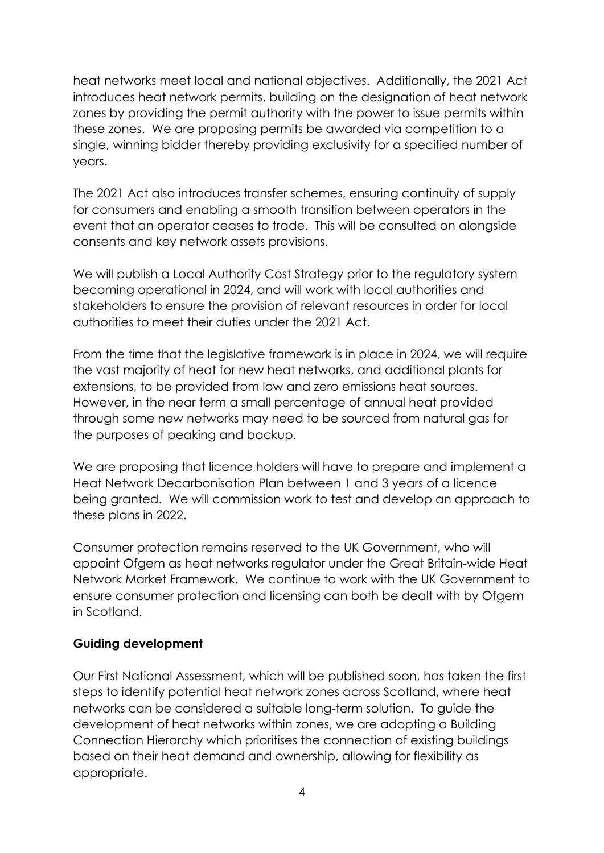heat networks meet local and national objectives. Additionally, the 2021 Act introduces heat network permits, building on the designation of heat network zones by providing the permit authority with the power to issue permits within these zones. We are proposing permits be awarded via competition to a single, winning bidder thereby providing exclusivity for a specified number of years.

The 2021 Act also introduces transfer schemes, ensuring continuity of supply for consumers and enabling a smooth transition between operators in the event that an operator ceases to trade. This will be consulted on alongside consents and key network assets provisions.

We will publish a Local Authority Cost Strategy prior to the regulatory system becoming operational in 2024, and will work with local authorities and stakeholders to ensure the provision of relevant resources in order for local authorities to meet their duties under the 2021 Act.

From the time that the legislative framework is in place in 2024, we will require the vast majority of heat for new heat networks, and additional plants for extensions, to be provided from low and zero emissions heat sources. However, in the near term a small percentage of annual heat provided through some new networks may need to be sourced from natural gas for the purposes of peaking and backup.

We are proposing that licence holders will have to prepare and implement a Heat Network Decarbonisation Plan between 1 and 3 years of a licence being granted. We will commission work to test and develop an approach to these plans in 2022.

Consumer protection remains reserved to the UK Government, who will appoint Ofgem as heat networks regulator under the Great Britain-wide Heat Network Market Framework. We continue to work with the UK Government to ensure consumer protection and licensing can both be dealt with by Ofgem in Scotland.

#### <span id="page-7-0"></span>**Guiding development**

Our First National Assessment, which will be published soon, has taken the first steps to identify potential heat network zones across Scotland, where heat networks can be considered a suitable long-term solution. To guide the development of heat networks within zones, we are adopting a Building Connection Hierarchy which prioritises the connection of existing buildings based on their heat demand and ownership, allowing for flexibility as appropriate.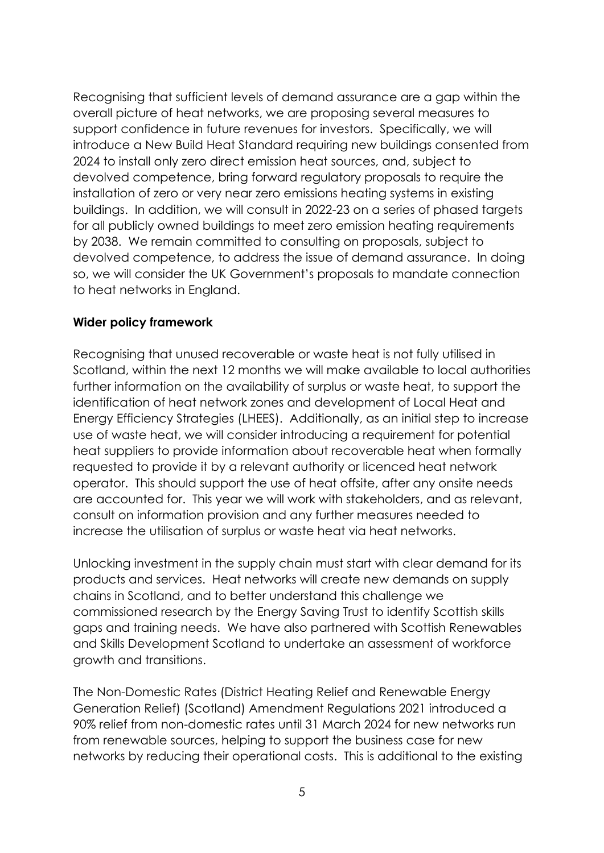Recognising that sufficient levels of demand assurance are a gap within the overall picture of heat networks, we are proposing several measures to support confidence in future revenues for investors. Specifically, we will introduce a New Build Heat Standard requiring new buildings consented from 2024 to install only zero direct emission heat sources, and, subject to devolved competence, bring forward regulatory proposals to require the installation of zero or very near zero emissions heating systems in existing buildings. In addition, we will consult in 2022-23 on a series of phased targets for all publicly owned buildings to meet zero emission heating requirements by 2038. We remain committed to consulting on proposals, subject to devolved competence, to address the issue of demand assurance. In doing so, we will consider the UK Government's proposals to mandate connection to heat networks in England.

#### <span id="page-8-0"></span>**Wider policy framework**

Recognising that unused recoverable or waste heat is not fully utilised in Scotland, within the next 12 months we will make available to local authorities further information on the availability of surplus or waste heat, to support the identification of heat network zones and development of Local Heat and Energy Efficiency Strategies (LHEES). Additionally, as an initial step to increase use of waste heat, we will consider introducing a requirement for potential heat suppliers to provide information about recoverable heat when formally requested to provide it by a relevant authority or licenced heat network operator. This should support the use of heat offsite, after any onsite needs are accounted for. This year we will work with stakeholders, and as relevant, consult on information provision and any further measures needed to increase the utilisation of surplus or waste heat via heat networks.

Unlocking investment in the supply chain must start with clear demand for its products and services. Heat networks will create new demands on supply chains in Scotland, and to better understand this challenge we commissioned research by the Energy Saving Trust to identify Scottish skills gaps and training needs. We have also partnered with Scottish Renewables and Skills Development Scotland to undertake an assessment of workforce growth and transitions.

The Non-Domestic Rates (District Heating Relief and Renewable Energy Generation Relief) (Scotland) Amendment Regulations 2021 introduced a 90% relief from non-domestic rates until 31 March 2024 for new networks run from renewable sources, helping to support the business case for new networks by reducing their operational costs. This is additional to the existing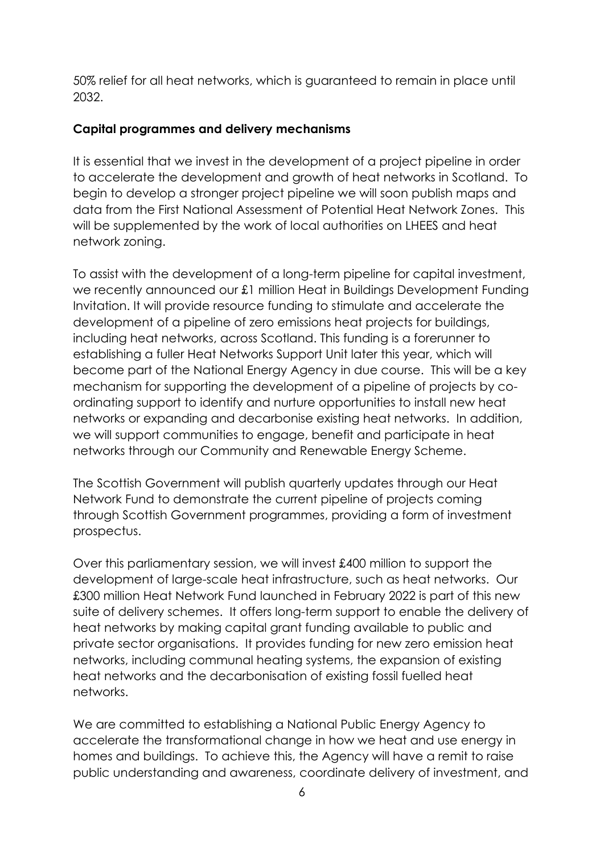50% relief for all heat networks, which is guaranteed to remain in place until 2032.

#### <span id="page-9-0"></span>**Capital programmes and delivery mechanisms**

It is essential that we invest in the development of a project pipeline in order to accelerate the development and growth of heat networks in Scotland. To begin to develop a stronger project pipeline we will soon publish maps and data from the First National Assessment of Potential Heat Network Zones. This will be supplemented by the work of local authorities on LHEES and heat network zoning.

To assist with the development of a long-term pipeline for capital investment, we recently announced our £1 million Heat in Buildings Development Funding Invitation. It will provide resource funding to stimulate and accelerate the development of a pipeline of zero emissions heat projects for buildings, including heat networks, across Scotland. This funding is a forerunner to establishing a fuller Heat Networks Support Unit later this year, which will become part of the National Energy Agency in due course. This will be a key mechanism for supporting the development of a pipeline of projects by coordinating support to identify and nurture opportunities to install new heat networks or expanding and decarbonise existing heat networks. In addition, we will support communities to engage, benefit and participate in heat networks through our Community and Renewable Energy Scheme.

The Scottish Government will publish quarterly updates through our Heat Network Fund to demonstrate the current pipeline of projects coming through Scottish Government programmes, providing a form of investment prospectus.

Over this parliamentary session, we will invest £400 million to support the development of large-scale heat infrastructure, such as heat networks. Our £300 million Heat Network Fund launched in February 2022 is part of this new suite of delivery schemes. It offers long-term support to enable the delivery of heat networks by making capital grant funding available to public and private sector organisations. It provides funding for new zero emission heat networks, including communal heating systems, the expansion of existing heat networks and the decarbonisation of existing fossil fuelled heat networks.

We are committed to establishing a National Public Energy Agency to accelerate the transformational change in how we heat and use energy in homes and buildings. To achieve this, the Agency will have a remit to raise public understanding and awareness, coordinate delivery of investment, and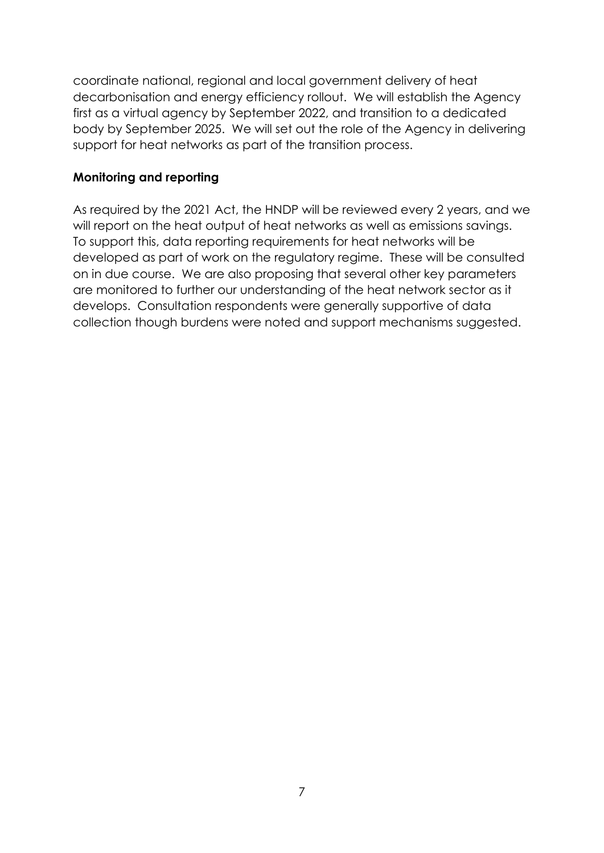coordinate national, regional and local government delivery of heat decarbonisation and energy efficiency rollout. We will establish the Agency first as a virtual agency by September 2022, and transition to a dedicated body by September 2025. We will set out the role of the Agency in delivering support for heat networks as part of the transition process.

#### <span id="page-10-0"></span>**Monitoring and reporting**

As required by the 2021 Act, the HNDP will be reviewed every 2 years, and we will report on the heat output of heat networks as well as emissions savings. To support this, data reporting requirements for heat networks will be developed as part of work on the regulatory regime. These will be consulted on in due course. We are also proposing that several other key parameters are monitored to further our understanding of the heat network sector as it develops. Consultation respondents were generally supportive of data collection though burdens were noted and support mechanisms suggested.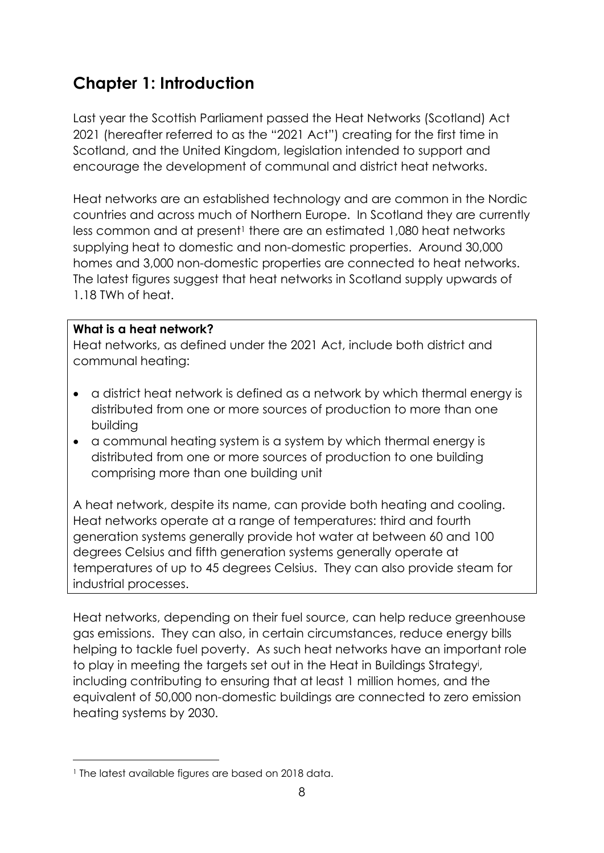# <span id="page-11-0"></span>**Chapter 1: Introduction**

Last year the Scottish Parliament passed the Heat Networks (Scotland) Act 2021 (hereafter referred to as the "2021 Act") creating for the first time in Scotland, and the United Kingdom, legislation intended to support and encourage the development of communal and district heat networks.

Heat networks are an established technology and are common in the Nordic countries and across much of Northern Europe. In Scotland they are currently less common and at present<sup>1</sup> there are an estimated 1,080 heat networks supplying heat to domestic and non-domestic properties. Around 30,000 homes and 3,000 non-domestic properties are connected to heat networks. The latest figures suggest that heat networks in Scotland supply upwards of 1.18 TWh of heat.

#### **What is a heat network?**

Heat networks, as defined under the 2021 Act, include both district and communal heating:

- a district heat network is defined as a network by which thermal energy is distributed from one or more sources of production to more than one building
- a communal heating system is a system by which thermal energy is distributed from one or more sources of production to one building comprising more than one building unit

A heat network, despite its name, can provide both heating and cooling. Heat networks operate at a range of temperatures: third and fourth generation systems generally provide hot water at between 60 and 100 degrees Celsius and fifth generation systems generally operate at temperatures of up to 45 degrees Celsius. They can also provide steam for industrial processes.

Heat networks, depending on their fuel source, can help reduce greenhouse gas emissions. They can also, in certain circumstances, reduce energy bills helping to tackle fuel poverty. As such heat networks have an important role to play in meeting the targets set out in the Heat in Buildings Strategy<sup>i</sup> , including contributing to ensuring that at least 1 million homes, and the equivalent of 50,000 non-domestic buildings are connected to zero emission heating systems by 2030.

 $\overline{a}$ 

<sup>&</sup>lt;sup>1</sup> The latest available figures are based on 2018 data.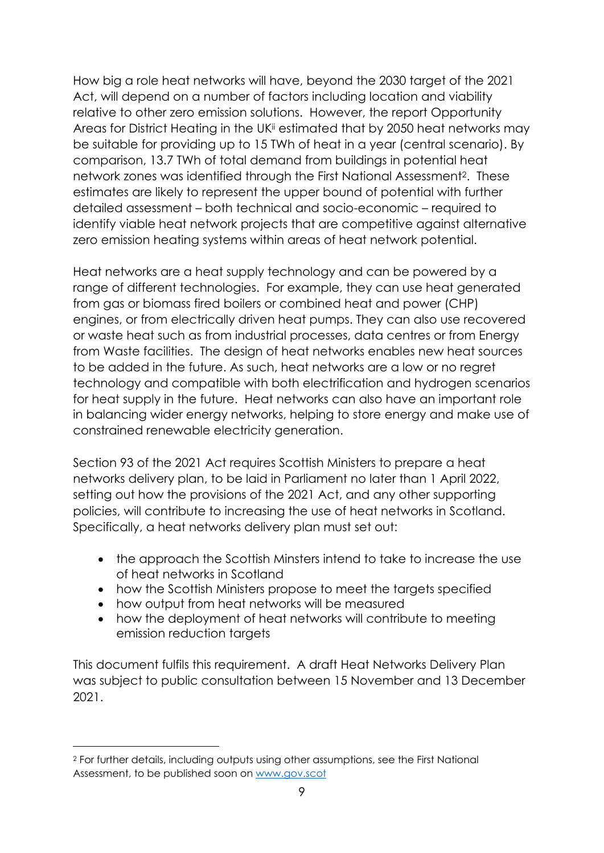How big a role heat networks will have, beyond the 2030 target of the 2021 Act, will depend on a number of factors including location and viability relative to other zero emission solutions. However, the report Opportunity Areas for District Heating in the UK<sup>ii</sup> estimated that by 2050 heat networks may be suitable for providing up to 15 TWh of heat in a year (central scenario). By comparison, 13.7 TWh of total demand from buildings in potential heat network zones was identified through the First National Assessment2. These estimates are likely to represent the upper bound of potential with further detailed assessment – both technical and socio-economic – required to identify viable heat network projects that are competitive against alternative zero emission heating systems within areas of heat network potential.

Heat networks are a heat supply technology and can be powered by a range of different technologies. For example, they can use heat generated from gas or biomass fired boilers or combined heat and power (CHP) engines, or from electrically driven heat pumps. They can also use recovered or waste heat such as from industrial processes, data centres or from Energy from Waste facilities. The design of heat networks enables new heat sources to be added in the future. As such, heat networks are a low or no regret technology and compatible with both electrification and hydrogen scenarios for heat supply in the future. Heat networks can also have an important role in balancing wider energy networks, helping to store energy and make use of constrained renewable electricity generation.

Section 93 of the 2021 Act requires Scottish Ministers to prepare a heat networks delivery plan, to be laid in Parliament no later than 1 April 2022, setting out how the provisions of the 2021 Act, and any other supporting policies, will contribute to increasing the use of heat networks in Scotland. Specifically, a heat networks delivery plan must set out:

- the approach the Scottish Minsters intend to take to increase the use of heat networks in Scotland
- how the Scottish Ministers propose to meet the targets specified
- how output from heat networks will be measured

 $\overline{a}$ 

• how the deployment of heat networks will contribute to meeting emission reduction targets

This document fulfils this requirement. A draft Heat Networks Delivery Plan was subject to public consultation between 15 November and 13 December 2021.

<sup>2</sup> For further details, including outputs using other assumptions, see the First National Assessment, to be published soon on [www.gov.scot](http://www.gov.scot/)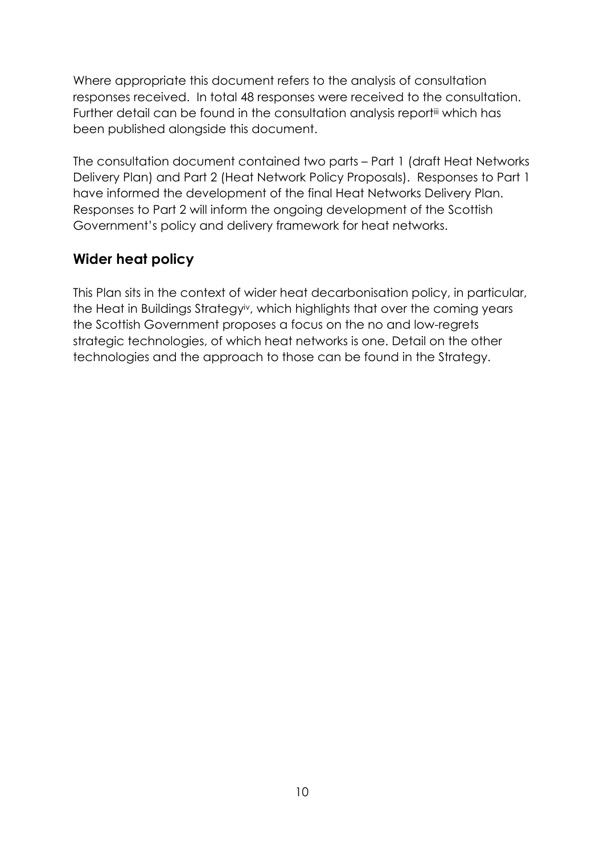Where appropriate this document refers to the analysis of consultation responses received. In total 48 responses were received to the consultation. Further detail can be found in the consultation analysis reportiii which has been published alongside this document.

The consultation document contained two parts – Part 1 (draft Heat Networks Delivery Plan) and Part 2 (Heat Network Policy Proposals). Responses to Part 1 have informed the development of the final Heat Networks Delivery Plan. Responses to Part 2 will inform the ongoing development of the Scottish Government's policy and delivery framework for heat networks.

### <span id="page-13-0"></span>**Wider heat policy**

This Plan sits in the context of wider heat decarbonisation policy, in particular, the Heat in Buildings Strategyiv, which highlights that over the coming years the Scottish Government proposes a focus on the no and low-regrets strategic technologies, of which heat networks is one. Detail on the other technologies and the approach to those can be found in the Strategy.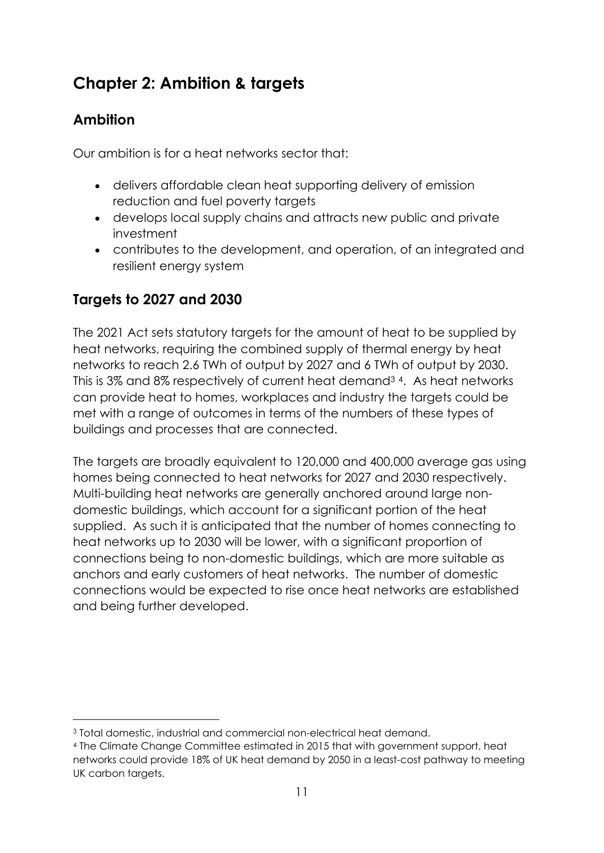# <span id="page-14-0"></span>**Chapter 2: Ambition & targets**

# <span id="page-14-1"></span>**Ambition**

1

Our ambition is for a heat networks sector that:

- delivers affordable clean heat supporting delivery of emission reduction and fuel poverty targets
- develops local supply chains and attracts new public and private investment
- contributes to the development, and operation, of an integrated and resilient energy system

# <span id="page-14-2"></span>**Targets to 2027 and 2030**

The 2021 Act sets statutory targets for the amount of heat to be supplied by heat networks, requiring the combined supply of thermal energy by heat networks to reach 2.6 TWh of output by 2027 and 6 TWh of output by 2030. This is 3% and 8% respectively of current heat demand<sup>34</sup>. As heat networks can provide heat to homes, workplaces and industry the targets could be met with a range of outcomes in terms of the numbers of these types of buildings and processes that are connected.

The targets are broadly equivalent to 120,000 and 400,000 average gas using homes being connected to heat networks for 2027 and 2030 respectively. Multi-building heat networks are generally anchored around large nondomestic buildings, which account for a significant portion of the heat supplied. As such it is anticipated that the number of homes connecting to heat networks up to 2030 will be lower, with a significant proportion of connections being to non-domestic buildings, which are more suitable as anchors and early customers of heat networks. The number of domestic connections would be expected to rise once heat networks are established and being further developed.

<sup>3</sup> Total domestic, industrial and commercial non-electrical heat demand.

<sup>4</sup> The Climate Change Committee estimated in 2015 that with government support, heat networks could provide 18% of UK heat demand by 2050 in a least-cost pathway to meeting UK carbon targets.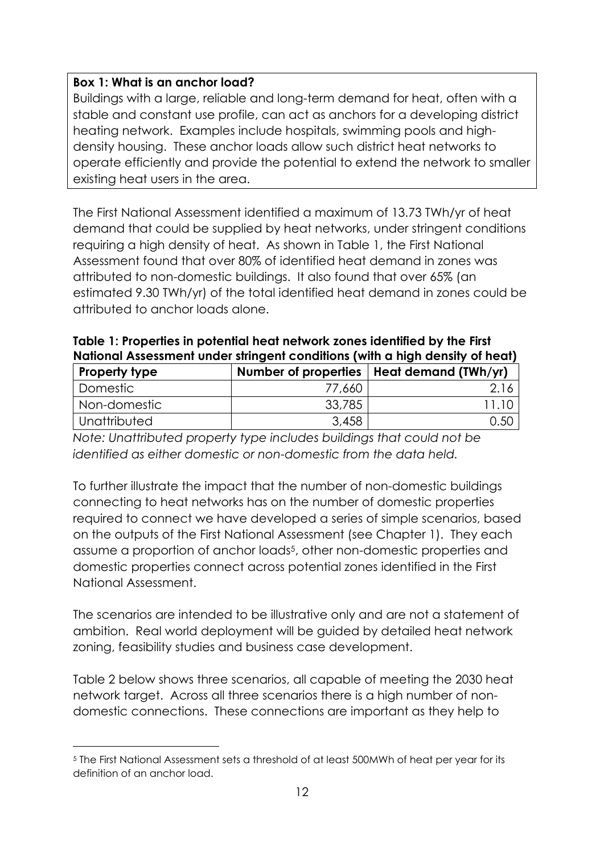#### **Box 1: What is an anchor load?**

Buildings with a large, reliable and long-term demand for heat, often with a stable and constant use profile, can act as anchors for a developing district heating network. Examples include hospitals, swimming pools and highdensity housing. These anchor loads allow such district heat networks to operate efficiently and provide the potential to extend the network to smaller existing heat users in the area.

The First National Assessment identified a maximum of 13.73 TWh/yr of heat demand that could be supplied by heat networks, under stringent conditions requiring a high density of heat. As shown in Table 1, the First National Assessment found that over 80% of identified heat demand in zones was attributed to non-domestic buildings. It also found that over 65% (an estimated 9.30 TWh/yr) of the total identified heat demand in zones could be attributed to anchor loads alone.

| <b>Property type</b> |        | Number of properties   Heat demand (TWh/yr) |
|----------------------|--------|---------------------------------------------|
| ' Domestic           | 77,660 |                                             |
| Non-domestic         | 33,785 |                                             |
| Unattributed         | 3,458  | 0.50                                        |

| Table 1: Properties in potential heat network zones identified by the First  |  |
|------------------------------------------------------------------------------|--|
| National Assessment under stringent conditions (with a high density of heat) |  |
|                                                                              |  |

*Note: Unattributed property type includes buildings that could not be identified as either domestic or non-domestic from the data held.* 

To further illustrate the impact that the number of non-domestic buildings connecting to heat networks has on the number of domestic properties required to connect we have developed a series of simple scenarios, based on the outputs of the First National Assessment (see Chapter 1). They each assume a proportion of anchor loads<sup>5</sup>, other non-domestic properties and domestic properties connect across potential zones identified in the First National Assessment.

The scenarios are intended to be illustrative only and are not a statement of ambition. Real world deployment will be guided by detailed heat network zoning, feasibility studies and business case development.

Table 2 below shows three scenarios, all capable of meeting the 2030 heat network target. Across all three scenarios there is a high number of nondomestic connections. These connections are important as they help to

 $\overline{a}$ 

<sup>5</sup> The First National Assessment sets a threshold of at least 500MWh of heat per year for its definition of an anchor load.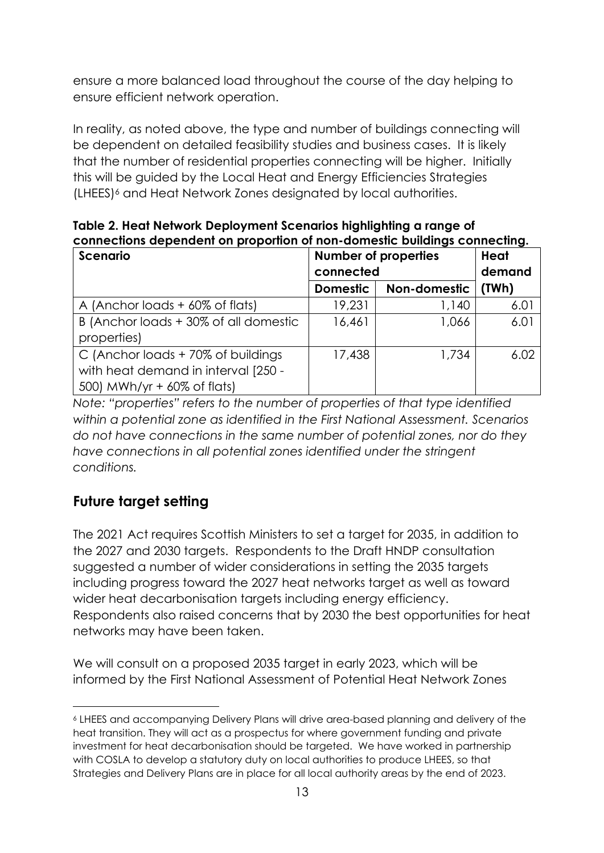ensure a more balanced load throughout the course of the day helping to ensure efficient network operation.

In reality, as noted above, the type and number of buildings connecting will be dependent on detailed feasibility studies and business cases. It is likely that the number of residential properties connecting will be higher. Initially this will be guided by the Local Heat and Energy Efficiencies Strategies (LHEES)<sup>6</sup> and Heat Network Zones designated by local authorities.

**Table 2. Heat Network Deployment Scenarios highlighting a range of connections dependent on proportion of non-domestic buildings connecting.** 

| <b>Scenario</b>                       | <b>Number of properties</b> | <b>Heat</b>  |       |
|---------------------------------------|-----------------------------|--------------|-------|
|                                       | connected                   | demand       |       |
|                                       | <b>Domestic</b>             | Non-domestic | (TWh) |
| A (Anchor loads + 60% of flats)       | 19,231                      | 1,140        | 6.01  |
| B (Anchor loads + 30% of all domestic | 16,461                      | 1,066        | 6.01  |
| properties)                           |                             |              |       |
| C (Anchor loads + 70% of buildings    | 17,438                      | 1,734        | 6.02  |
| with heat demand in interval [250 -   |                             |              |       |
| 500) MWh/yr + 60% of flats)           |                             |              |       |

*Note: "properties" refers to the number of properties of that type identified within a potential zone as identified in the First National Assessment. Scenarios do not have connections in the same number of potential zones, nor do they have connections in all potential zones identified under the stringent conditions.*

# <span id="page-16-0"></span>**Future target setting**

 $\overline{a}$ 

The 2021 Act requires Scottish Ministers to set a target for 2035, in addition to the 2027 and 2030 targets. Respondents to the Draft HNDP consultation suggested a number of wider considerations in setting the 2035 targets including progress toward the 2027 heat networks target as well as toward wider heat decarbonisation targets including energy efficiency. Respondents also raised concerns that by 2030 the best opportunities for heat networks may have been taken.

We will consult on a proposed 2035 target in early 2023, which will be informed by the First National Assessment of Potential Heat Network Zones

<sup>6</sup> LHEES and accompanying Delivery Plans will drive area-based planning and delivery of the heat transition. They will act as a prospectus for where government funding and private investment for heat decarbonisation should be targeted. We have worked in partnership with COSLA to develop a statutory duty on local authorities to produce LHEES, so that Strategies and Delivery Plans are in place for all local authority areas by the end of 2023.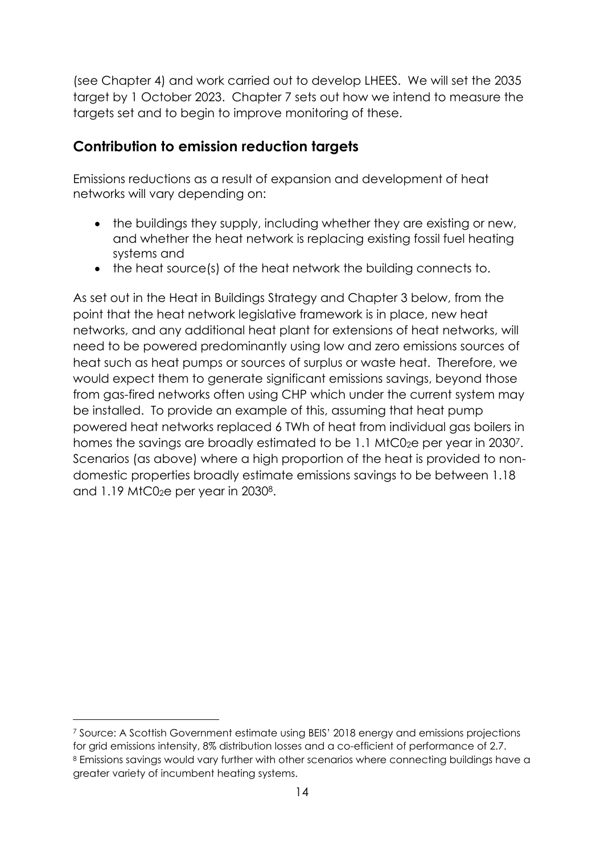(see Chapter 4) and work carried out to develop LHEES. We will set the 2035 target by 1 October 2023. Chapter 7 sets out how we intend to measure the targets set and to begin to improve monitoring of these.

### <span id="page-17-0"></span>**Contribution to emission reduction targets**

Emissions reductions as a result of expansion and development of heat networks will vary depending on:

- the buildings they supply, including whether they are existing or new, and whether the heat network is replacing existing fossil fuel heating systems and
- the heat source(s) of the heat network the building connects to.

As set out in the Heat in Buildings Strategy and Chapter 3 below, from the point that the heat network legislative framework is in place, new heat networks, and any additional heat plant for extensions of heat networks, will need to be powered predominantly using low and zero emissions sources of heat such as heat pumps or sources of surplus or waste heat. Therefore, we would expect them to generate significant emissions savings, beyond those from gas-fired networks often using CHP which under the current system may be installed. To provide an example of this, assuming that heat pump powered heat networks replaced 6 TWh of heat from individual gas boilers in homes the savings are broadly estimated to be 1.1 MtC02e per year in 20307. Scenarios (as above) where a high proportion of the heat is provided to nondomestic properties broadly estimate emissions savings to be between 1.18 and 1.19 MtC02e per year in 20308.

1

<sup>7</sup> Source: A Scottish Government estimate using BEIS' 2018 energy and emissions projections for grid emissions intensity, 8% distribution losses and a co-efficient of performance of 2.7. 8 Emissions savings would vary further with other scenarios where connecting buildings have a greater variety of incumbent heating systems.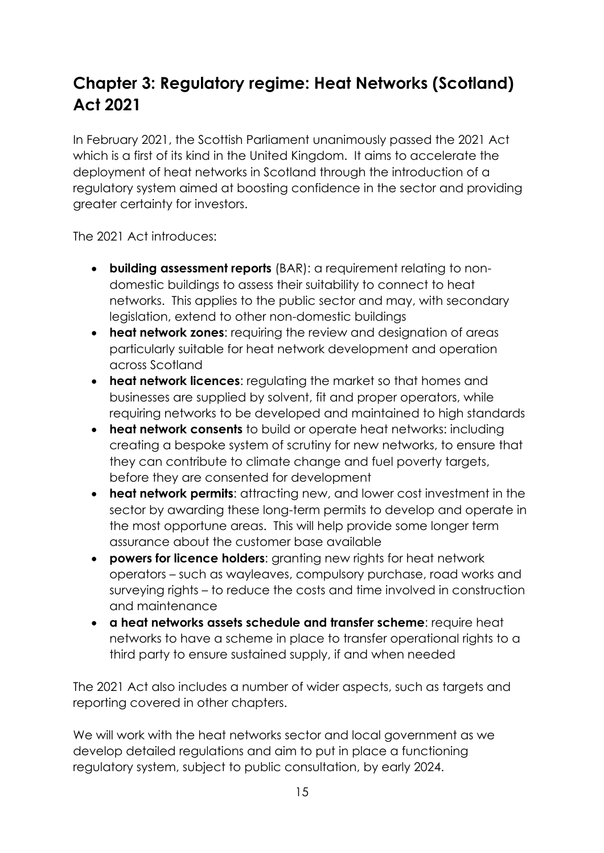# <span id="page-18-0"></span>**Chapter 3: Regulatory regime: Heat Networks (Scotland) Act 2021**

In February 2021, the Scottish Parliament unanimously passed the 2021 Act which is a first of its kind in the United Kingdom. It aims to accelerate the deployment of heat networks in Scotland through the introduction of a regulatory system aimed at boosting confidence in the sector and providing greater certainty for investors.

The 2021 Act introduces:

- **building assessment reports** (BAR): a requirement relating to nondomestic buildings to assess their suitability to connect to heat networks. This applies to the public sector and may, with secondary legislation, extend to other non-domestic buildings
- **heat network zones**: requiring the review and designation of areas particularly suitable for heat network development and operation across Scotland
- **heat network licences**: regulating the market so that homes and businesses are supplied by solvent, fit and proper operators, while requiring networks to be developed and maintained to high standards
- **heat network consents** to build or operate heat networks: including creating a bespoke system of scrutiny for new networks, to ensure that they can contribute to climate change and fuel poverty targets, before they are consented for development
- **heat network permits**: attracting new, and lower cost investment in the sector by awarding these long-term permits to develop and operate in the most opportune areas. This will help provide some longer term assurance about the customer base available
- **powers for licence holders**: granting new rights for heat network operators – such as wayleaves, compulsory purchase, road works and surveying rights – to reduce the costs and time involved in construction and maintenance
- **a heat networks assets schedule and transfer scheme**: require heat networks to have a scheme in place to transfer operational rights to a third party to ensure sustained supply, if and when needed

The 2021 Act also includes a number of wider aspects, such as targets and reporting covered in other chapters.

We will work with the heat networks sector and local government as we develop detailed regulations and aim to put in place a functioning regulatory system, subject to public consultation, by early 2024.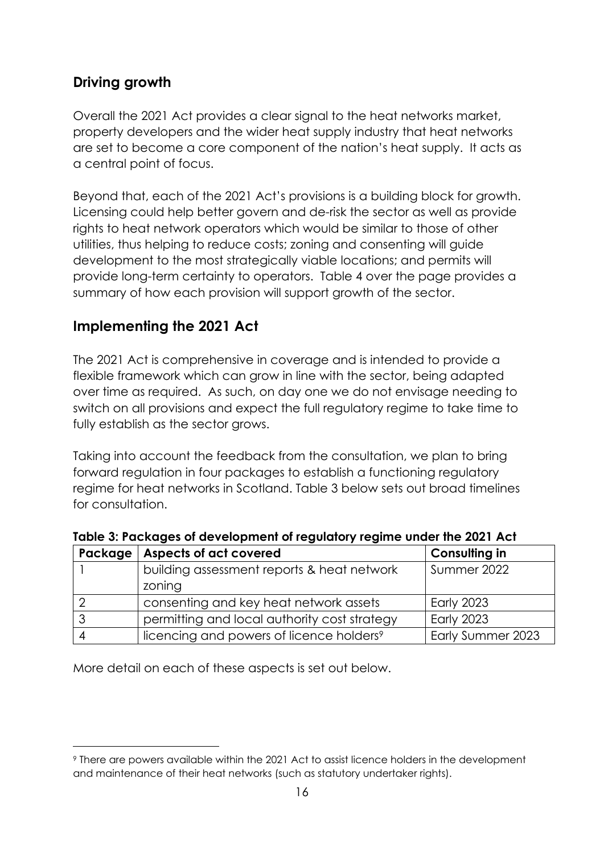## <span id="page-19-0"></span>**Driving growth**

Overall the 2021 Act provides a clear signal to the heat networks market, property developers and the wider heat supply industry that heat networks are set to become a core component of the nation's heat supply. It acts as a central point of focus.

Beyond that, each of the 2021 Act's provisions is a building block for growth. Licensing could help better govern and de-risk the sector as well as provide rights to heat network operators which would be similar to those of other utilities, thus helping to reduce costs; zoning and consenting will guide development to the most strategically viable locations; and permits will provide long-term certainty to operators. Table 4 over the page provides a summary of how each provision will support growth of the sector.

### <span id="page-19-1"></span>**Implementing the 2021 Act**

The 2021 Act is comprehensive in coverage and is intended to provide a flexible framework which can grow in line with the sector, being adapted over time as required. As such, on day one we do not envisage needing to switch on all provisions and expect the full regulatory regime to take time to fully establish as the sector grows.

Taking into account the feedback from the consultation, we plan to bring forward regulation in four packages to establish a functioning regulatory regime for heat networks in Scotland. Table 3 below sets out broad timelines for consultation.

| Package | Aspects of act covered                               | <b>Consulting in</b> |
|---------|------------------------------------------------------|----------------------|
|         | building assessment reports & heat network           | Summer 2022          |
|         | zoning                                               |                      |
|         | consenting and key heat network assets               | <b>Early 2023</b>    |
|         | permitting and local authority cost strategy         | <b>Early 2023</b>    |
|         | licencing and powers of licence holders <sup>9</sup> | Early Summer 2023    |

**Table 3: Packages of development of regulatory regime under the 2021 Act**

More detail on each of these aspects is set out below.

 $\overline{a}$ 

<sup>9</sup> There are powers available within the 2021 Act to assist licence holders in the development and maintenance of their heat networks (such as statutory undertaker rights).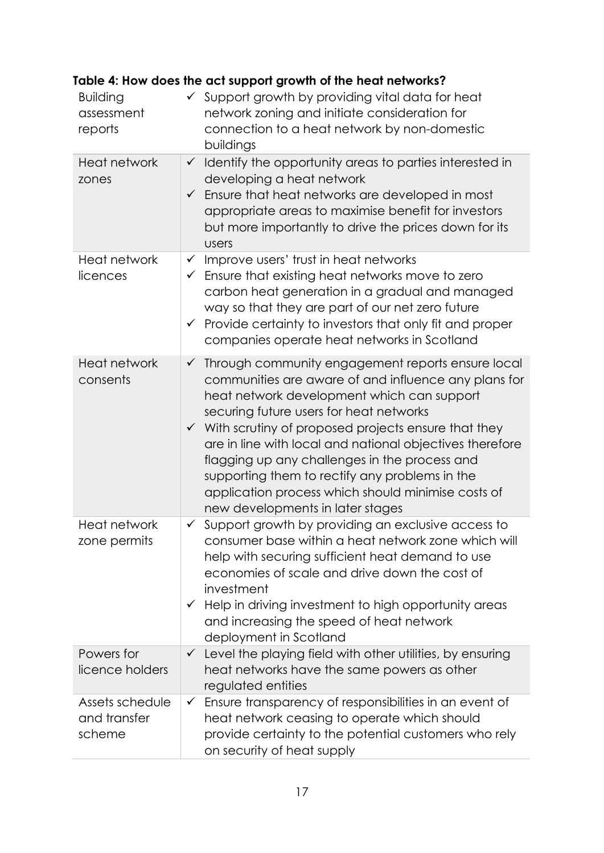| <b>Building</b><br>assessment<br>reports  | $\checkmark$ Support growth by providing vital data for heat<br>network zoning and initiate consideration for<br>connection to a heat network by non-domestic<br>buildings                                                                                                                                                                                                                                                                                                                                                                      |
|-------------------------------------------|-------------------------------------------------------------------------------------------------------------------------------------------------------------------------------------------------------------------------------------------------------------------------------------------------------------------------------------------------------------------------------------------------------------------------------------------------------------------------------------------------------------------------------------------------|
| <b>Heat network</b><br>zones              | $\checkmark$ Identify the opportunity areas to parties interested in<br>developing a heat network<br>Ensure that heat networks are developed in most<br>$\checkmark$<br>appropriate areas to maximise benefit for investors<br>but more importantly to drive the prices down for its<br><b>Users</b>                                                                                                                                                                                                                                            |
| Heat network<br>licences                  | Improve users' trust in heat networks<br>$\checkmark$<br>$\checkmark$ Ensure that existing heat networks move to zero<br>carbon heat generation in a gradual and managed<br>way so that they are part of our net zero future<br>Provide certainty to investors that only fit and proper<br>$\checkmark$<br>companies operate heat networks in Scotland                                                                                                                                                                                          |
| <b>Heat network</b><br>consents           | Through community engagement reports ensure local<br>$\checkmark$<br>communities are aware of and influence any plans for<br>heat network development which can support<br>securing future users for heat networks<br>$\checkmark$ With scrutiny of proposed projects ensure that they<br>are in line with local and national objectives therefore<br>flagging up any challenges in the process and<br>supporting them to rectify any problems in the<br>application process which should minimise costs of<br>new developments in later stages |
| <b>Heat network</b><br>zone permits       | Support growth by providing an exclusive access to<br>$\checkmark$<br>consumer base within a heat network zone which will<br>help with securing sufficient heat demand to use<br>economies of scale and drive down the cost of<br>investment<br>Help in driving investment to high opportunity areas<br>$\checkmark$<br>and increasing the speed of heat network<br>deployment in Scotland                                                                                                                                                      |
| Powers for<br>licence holders             | $\checkmark$ Level the playing field with other utilities, by ensuring<br>heat networks have the same powers as other<br>regulated entities                                                                                                                                                                                                                                                                                                                                                                                                     |
| Assets schedule<br>and transfer<br>scheme | Ensure transparency of responsibilities in an event of<br>$\checkmark$<br>heat network ceasing to operate which should<br>provide certainty to the potential customers who rely<br>on security of heat supply                                                                                                                                                                                                                                                                                                                                   |

# **Table 4: How does the act support growth of the heat networks?**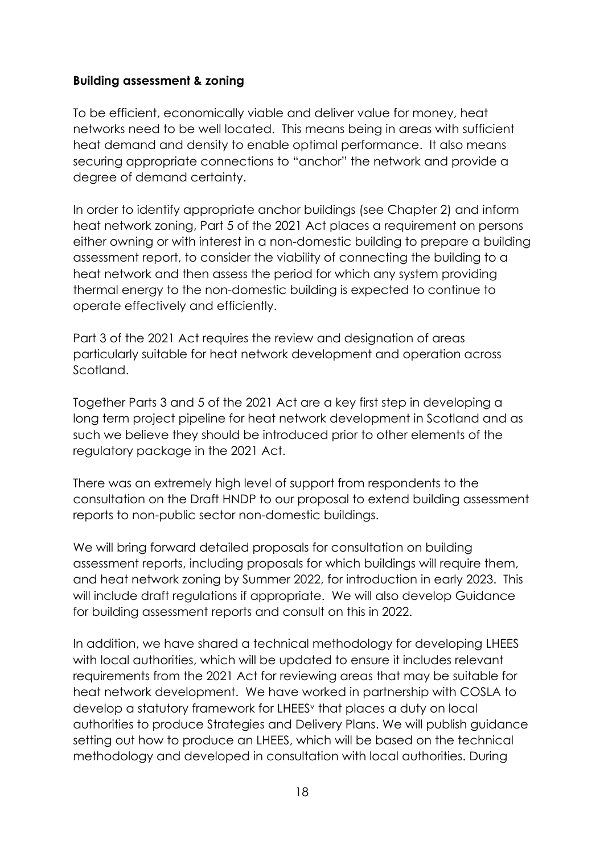#### <span id="page-21-0"></span>**Building assessment & zoning**

To be efficient, economically viable and deliver value for money, heat networks need to be well located. This means being in areas with sufficient heat demand and density to enable optimal performance. It also means securing appropriate connections to "anchor" the network and provide a degree of demand certainty.

In order to identify appropriate anchor buildings (see Chapter 2) and inform heat network zoning, Part 5 of the 2021 Act places a requirement on persons either owning or with interest in a non-domestic building to prepare a building assessment report, to consider the viability of connecting the building to a heat network and then assess the period for which any system providing thermal energy to the non-domestic building is expected to continue to operate effectively and efficiently.

Part 3 of the 2021 Act requires the review and designation of areas particularly suitable for heat network development and operation across Scotland.

Together Parts 3 and 5 of the 2021 Act are a key first step in developing a long term project pipeline for heat network development in Scotland and as such we believe they should be introduced prior to other elements of the regulatory package in the 2021 Act.

There was an extremely high level of support from respondents to the consultation on the Draft HNDP to our proposal to extend building assessment reports to non-public sector non-domestic buildings.

We will bring forward detailed proposals for consultation on building assessment reports, including proposals for which buildings will require them, and heat network zoning by Summer 2022, for introduction in early 2023. This will include draft regulations if appropriate. We will also develop Guidance for building assessment reports and consult on this in 2022.

In addition, we have shared a technical methodology for developing LHEES with local authorities, which will be updated to ensure it includes relevant requirements from the 2021 Act for reviewing areas that may be suitable for heat network development. We have worked in partnership with COSLA to develop a statutory framework for LHEES<sup>v</sup> that places a duty on local authorities to produce Strategies and Delivery Plans. We will publish guidance setting out how to produce an LHEES, which will be based on the technical methodology and developed in consultation with local authorities. During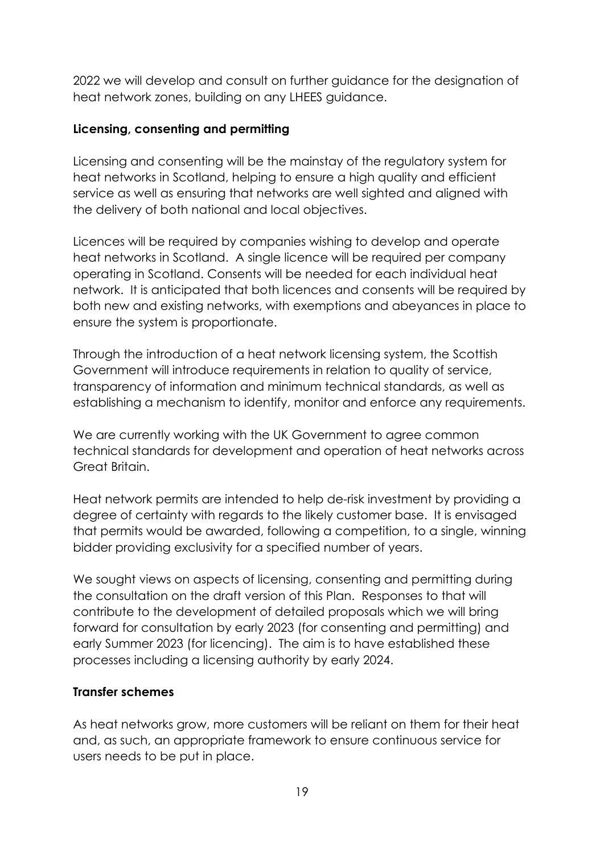2022 we will develop and consult on further guidance for the designation of heat network zones, building on any LHEES guidance.

#### <span id="page-22-0"></span>**Licensing, consenting and permitting**

Licensing and consenting will be the mainstay of the regulatory system for heat networks in Scotland, helping to ensure a high quality and efficient service as well as ensuring that networks are well sighted and aligned with the delivery of both national and local objectives.

Licences will be required by companies wishing to develop and operate heat networks in Scotland. A single licence will be required per company operating in Scotland. Consents will be needed for each individual heat network. It is anticipated that both licences and consents will be required by both new and existing networks, with exemptions and abeyances in place to ensure the system is proportionate.

Through the introduction of a heat network licensing system, the Scottish Government will introduce requirements in relation to quality of service, transparency of information and minimum technical standards, as well as establishing a mechanism to identify, monitor and enforce any requirements.

We are currently working with the UK Government to agree common technical standards for development and operation of heat networks across Great Britain.

Heat network permits are intended to help de-risk investment by providing a degree of certainty with regards to the likely customer base. It is envisaged that permits would be awarded, following a competition, to a single, winning bidder providing exclusivity for a specified number of years.

We sought views on aspects of licensing, consenting and permitting during the consultation on the draft version of this Plan. Responses to that will contribute to the development of detailed proposals which we will bring forward for consultation by early 2023 (for consenting and permitting) and early Summer 2023 (for licencing). The aim is to have established these processes including a licensing authority by early 2024.

#### <span id="page-22-1"></span>**Transfer schemes**

As heat networks grow, more customers will be reliant on them for their heat and, as such, an appropriate framework to ensure continuous service for users needs to be put in place.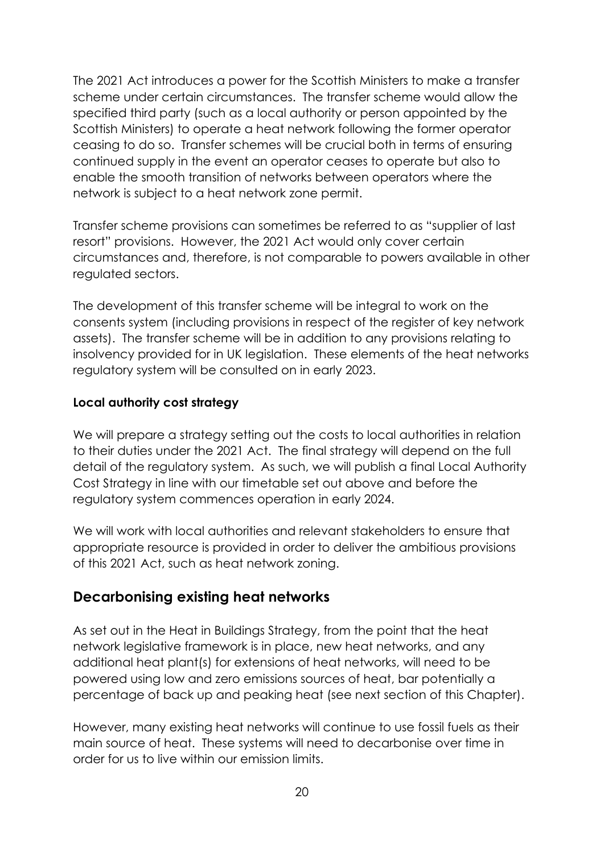The 2021 Act introduces a power for the Scottish Ministers to make a transfer scheme under certain circumstances. The transfer scheme would allow the specified third party (such as a local authority or person appointed by the Scottish Ministers) to operate a heat network following the former operator ceasing to do so. Transfer schemes will be crucial both in terms of ensuring continued supply in the event an operator ceases to operate but also to enable the smooth transition of networks between operators where the network is subject to a heat network zone permit.

Transfer scheme provisions can sometimes be referred to as "supplier of last resort" provisions. However, the 2021 Act would only cover certain circumstances and, therefore, is not comparable to powers available in other regulated sectors.

The development of this transfer scheme will be integral to work on the consents system (including provisions in respect of the register of key network assets). The transfer scheme will be in addition to any provisions relating to insolvency provided for in UK legislation. These elements of the heat networks regulatory system will be consulted on in early 2023.

#### <span id="page-23-0"></span>**Local authority cost strategy**

We will prepare a strategy setting out the costs to local authorities in relation to their duties under the 2021 Act. The final strategy will depend on the full detail of the regulatory system. As such, we will publish a final Local Authority Cost Strategy in line with our timetable set out above and before the regulatory system commences operation in early 2024.

We will work with local authorities and relevant stakeholders to ensure that appropriate resource is provided in order to deliver the ambitious provisions of this 2021 Act, such as heat network zoning.

#### <span id="page-23-1"></span>**Decarbonising existing heat networks**

As set out in the Heat in Buildings Strategy, from the point that the heat network legislative framework is in place, new heat networks, and any additional heat plant(s) for extensions of heat networks, will need to be powered using low and zero emissions sources of heat, bar potentially a percentage of back up and peaking heat (see next section of this Chapter).

However, many existing heat networks will continue to use fossil fuels as their main source of heat. These systems will need to decarbonise over time in order for us to live within our emission limits.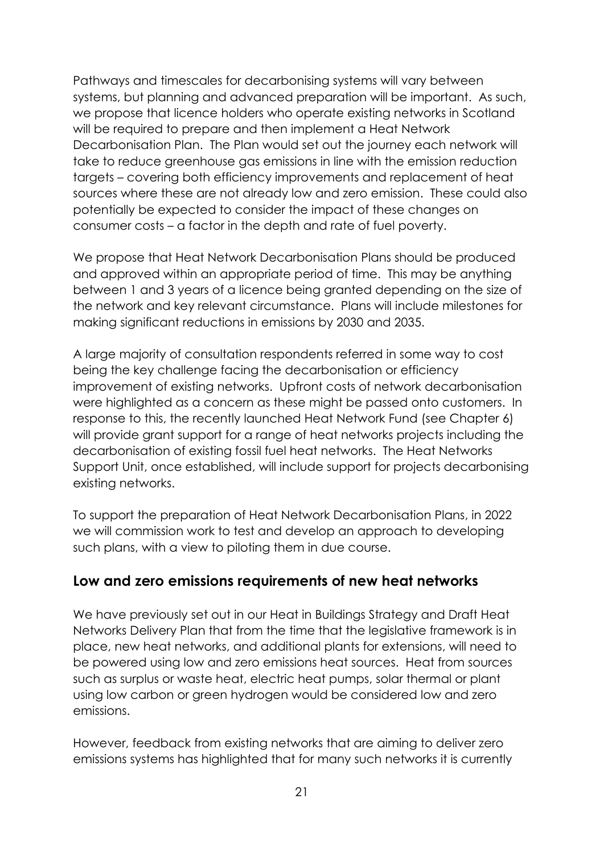Pathways and timescales for decarbonising systems will vary between systems, but planning and advanced preparation will be important. As such, we propose that licence holders who operate existing networks in Scotland will be required to prepare and then implement a Heat Network Decarbonisation Plan. The Plan would set out the journey each network will take to reduce greenhouse gas emissions in line with the emission reduction targets – covering both efficiency improvements and replacement of heat sources where these are not already low and zero emission. These could also potentially be expected to consider the impact of these changes on consumer costs – a factor in the depth and rate of fuel poverty.

We propose that Heat Network Decarbonisation Plans should be produced and approved within an appropriate period of time. This may be anything between 1 and 3 years of a licence being granted depending on the size of the network and key relevant circumstance. Plans will include milestones for making significant reductions in emissions by 2030 and 2035.

A large majority of consultation respondents referred in some way to cost being the key challenge facing the decarbonisation or efficiency improvement of existing networks. Upfront costs of network decarbonisation were highlighted as a concern as these might be passed onto customers. In response to this, the recently launched Heat Network Fund (see Chapter 6) will provide grant support for a range of heat networks projects including the decarbonisation of existing fossil fuel heat networks. The Heat Networks Support Unit, once established, will include support for projects decarbonising existing networks.

To support the preparation of Heat Network Decarbonisation Plans, in 2022 we will commission work to test and develop an approach to developing such plans, with a view to piloting them in due course.

#### <span id="page-24-0"></span>**Low and zero emissions requirements of new heat networks**

We have previously set out in our Heat in Buildings Strategy and Draft Heat Networks Delivery Plan that from the time that the legislative framework is in place, new heat networks, and additional plants for extensions, will need to be powered using low and zero emissions heat sources. Heat from sources such as surplus or waste heat, electric heat pumps, solar thermal or plant using low carbon or green hydrogen would be considered low and zero emissions.

However, feedback from existing networks that are aiming to deliver zero emissions systems has highlighted that for many such networks it is currently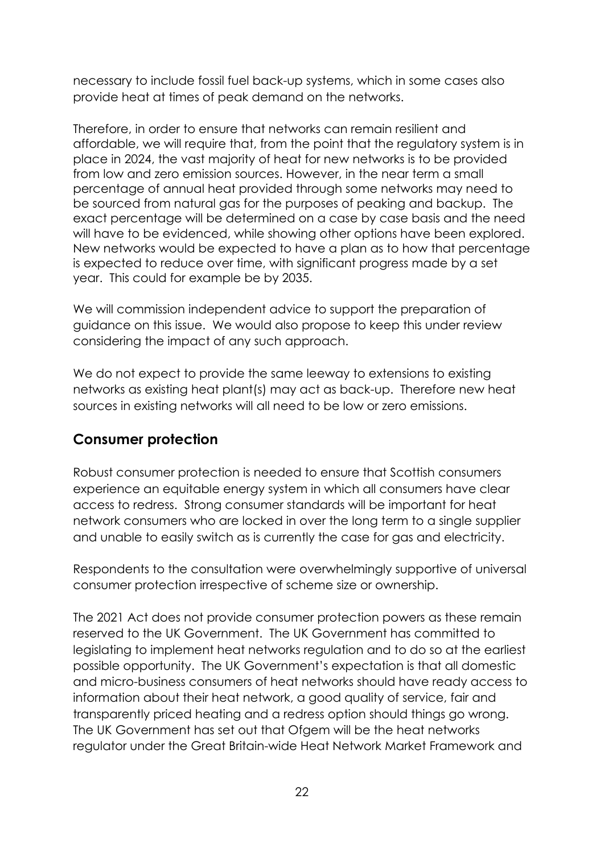necessary to include fossil fuel back-up systems, which in some cases also provide heat at times of peak demand on the networks.

Therefore, in order to ensure that networks can remain resilient and affordable, we will require that, from the point that the regulatory system is in place in 2024, the vast majority of heat for new networks is to be provided from low and zero emission sources. However, in the near term a small percentage of annual heat provided through some networks may need to be sourced from natural gas for the purposes of peaking and backup. The exact percentage will be determined on a case by case basis and the need will have to be evidenced, while showing other options have been explored. New networks would be expected to have a plan as to how that percentage is expected to reduce over time, with significant progress made by a set year. This could for example be by 2035.

We will commission independent advice to support the preparation of guidance on this issue. We would also propose to keep this under review considering the impact of any such approach.

We do not expect to provide the same leeway to extensions to existing networks as existing heat plant(s) may act as back-up. Therefore new heat sources in existing networks will all need to be low or zero emissions.

### <span id="page-25-0"></span>**Consumer protection**

Robust consumer protection is needed to ensure that Scottish consumers experience an equitable energy system in which all consumers have clear access to redress. Strong consumer standards will be important for heat network consumers who are locked in over the long term to a single supplier and unable to easily switch as is currently the case for gas and electricity.

Respondents to the consultation were overwhelmingly supportive of universal consumer protection irrespective of scheme size or ownership.

The 2021 Act does not provide consumer protection powers as these remain reserved to the UK Government. The UK Government has committed to legislating to implement heat networks regulation and to do so at the earliest possible opportunity. The UK Government's expectation is that all domestic and micro-business consumers of heat networks should have ready access to information about their heat network, a good quality of service, fair and transparently priced heating and a redress option should things go wrong. The UK Government has set out that Ofgem will be the heat networks regulator under the Great Britain-wide Heat Network Market Framework and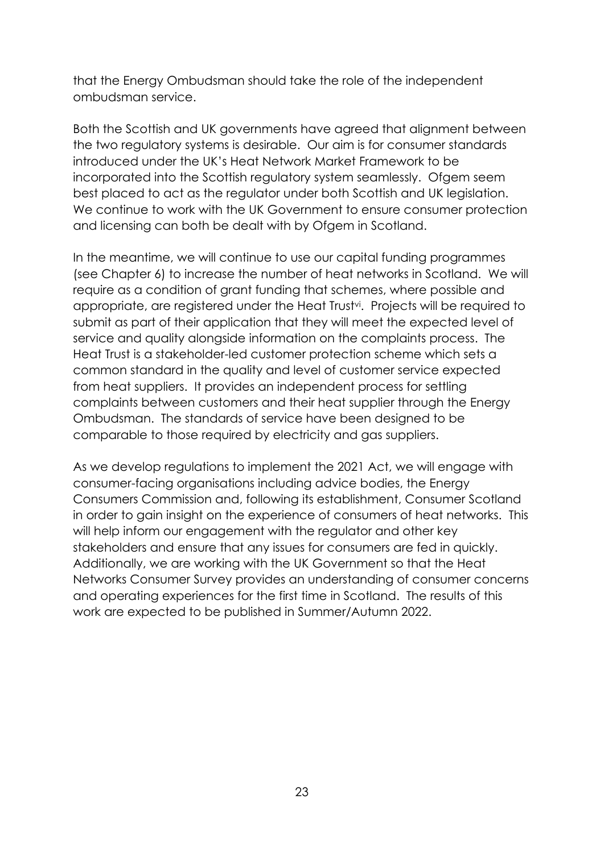that the Energy Ombudsman should take the role of the independent ombudsman service.

Both the Scottish and UK governments have agreed that alignment between the two regulatory systems is desirable. Our aim is for consumer standards introduced under the UK's Heat Network Market Framework to be incorporated into the Scottish regulatory system seamlessly. Ofgem seem best placed to act as the regulator under both Scottish and UK legislation. We continue to work with the UK Government to ensure consumer protection and licensing can both be dealt with by Ofgem in Scotland.

In the meantime, we will continue to use our capital funding programmes (see Chapter 6) to increase the number of heat networks in Scotland. We will require as a condition of grant funding that schemes, where possible and appropriate, are registered under the Heat Trust<sup>vi</sup>. Projects will be required to submit as part of their application that they will meet the expected level of service and quality alongside information on the complaints process. The Heat Trust is a stakeholder-led customer protection scheme which sets a common standard in the quality and level of customer service expected from heat suppliers. It provides an independent process for settling complaints between customers and their heat supplier through the Energy Ombudsman. The standards of service have been designed to be comparable to those required by electricity and gas suppliers.

As we develop regulations to implement the 2021 Act, we will engage with consumer-facing organisations including advice bodies, the Energy Consumers Commission and, following its establishment, Consumer Scotland in order to gain insight on the experience of consumers of heat networks. This will help inform our engagement with the regulator and other key stakeholders and ensure that any issues for consumers are fed in quickly. Additionally, we are working with the UK Government so that the Heat Networks Consumer Survey provides an understanding of consumer concerns and operating experiences for the first time in Scotland. The results of this work are expected to be published in Summer/Autumn 2022.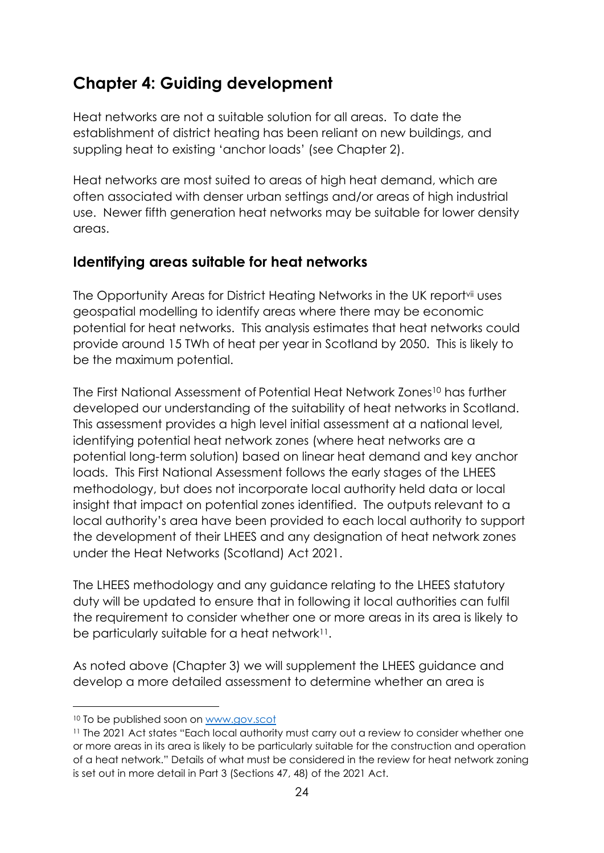# <span id="page-27-0"></span>**Chapter 4: Guiding development**

Heat networks are not a suitable solution for all areas. To date the establishment of district heating has been reliant on new buildings, and suppling heat to existing 'anchor loads' (see Chapter 2).

Heat networks are most suited to areas of high heat demand, which are often associated with denser urban settings and/or areas of high industrial use. Newer fifth generation heat networks may be suitable for lower density areas.

### <span id="page-27-1"></span>**Identifying areas suitable for heat networks**

The Opportunity Areas for District Heating Networks in the UK reportvii uses geospatial modelling to identify areas where there may be economic potential for heat networks. This analysis estimates that heat networks could provide around 15 TWh of heat per year in Scotland by 2050. This is likely to be the maximum potential.

The First National Assessment of Potential Heat Network Zones<sup>10</sup> has further developed our understanding of the suitability of heat networks in Scotland. This assessment provides a high level initial assessment at a national level, identifying potential heat network zones (where heat networks are a potential long-term solution) based on linear heat demand and key anchor loads. This First National Assessment follows the early stages of the LHEES methodology, but does not incorporate local authority held data or local insight that impact on potential zones identified. The outputs relevant to a local authority's area have been provided to each local authority to support the development of their LHEES and any designation of heat network zones under the Heat Networks (Scotland) Act 2021.

The LHEES methodology and any guidance relating to the LHEES statutory duty will be updated to ensure that in following it local authorities can fulfil the requirement to consider whether one or more areas in its area is likely to be particularly suitable for a heat network<sup>11</sup>.

As noted above (Chapter 3) we will supplement the LHEES guidance and develop a more detailed assessment to determine whether an area is

 $\overline{a}$ 

<sup>10</sup> To be published soon on [www.gov.scot](http://www.gov.scot/)

<sup>11</sup> The 2021 Act states "Each local authority must carry out a review to consider whether one or more areas in its area is likely to be particularly suitable for the construction and operation of a heat network." Details of what must be considered in the review for heat network zoning is set out in more detail in Part 3 (Sections 47, 48) of the 2021 Act.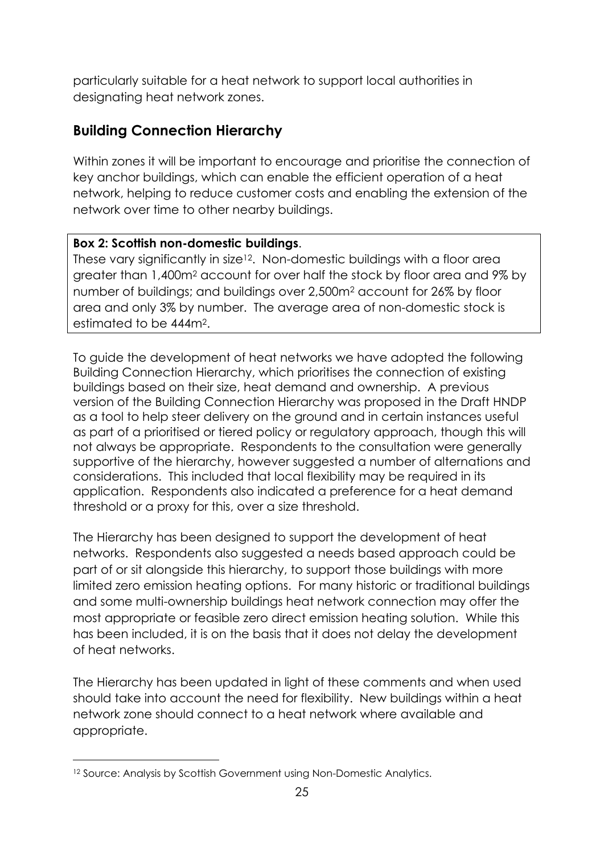particularly suitable for a heat network to support local authorities in designating heat network zones.

# <span id="page-28-0"></span>**Building Connection Hierarchy**

Within zones it will be important to encourage and prioritise the connection of key anchor buildings, which can enable the efficient operation of a heat network, helping to reduce customer costs and enabling the extension of the network over time to other nearby buildings.

#### **Box 2: Scottish non-domestic buildings**.

These vary significantly in size<sup>12</sup>. Non-domestic buildings with a floor area greater than 1,400m<sup>2</sup> account for over half the stock by floor area and 9% by number of buildings; and buildings over 2,500m<sup>2</sup> account for 26% by floor area and only 3% by number. The average area of non-domestic stock is estimated to be 444m2.

To guide the development of heat networks we have adopted the following Building Connection Hierarchy, which prioritises the connection of existing buildings based on their size, heat demand and ownership. A previous version of the Building Connection Hierarchy was proposed in the Draft HNDP as a tool to help steer delivery on the ground and in certain instances useful as part of a prioritised or tiered policy or regulatory approach, though this will not always be appropriate. Respondents to the consultation were generally supportive of the hierarchy, however suggested a number of alternations and considerations. This included that local flexibility may be required in its application. Respondents also indicated a preference for a heat demand threshold or a proxy for this, over a size threshold.

The Hierarchy has been designed to support the development of heat networks. Respondents also suggested a needs based approach could be part of or sit alongside this hierarchy, to support those buildings with more limited zero emission heating options. For many historic or traditional buildings and some multi-ownership buildings heat network connection may offer the most appropriate or feasible zero direct emission heating solution. While this has been included, it is on the basis that it does not delay the development of heat networks.

The Hierarchy has been updated in light of these comments and when used should take into account the need for flexibility. New buildings within a heat network zone should connect to a heat network where available and appropriate.

 $\overline{a}$ 

<sup>&</sup>lt;sup>12</sup> Source: Analysis by Scottish Government using Non-Domestic Analytics.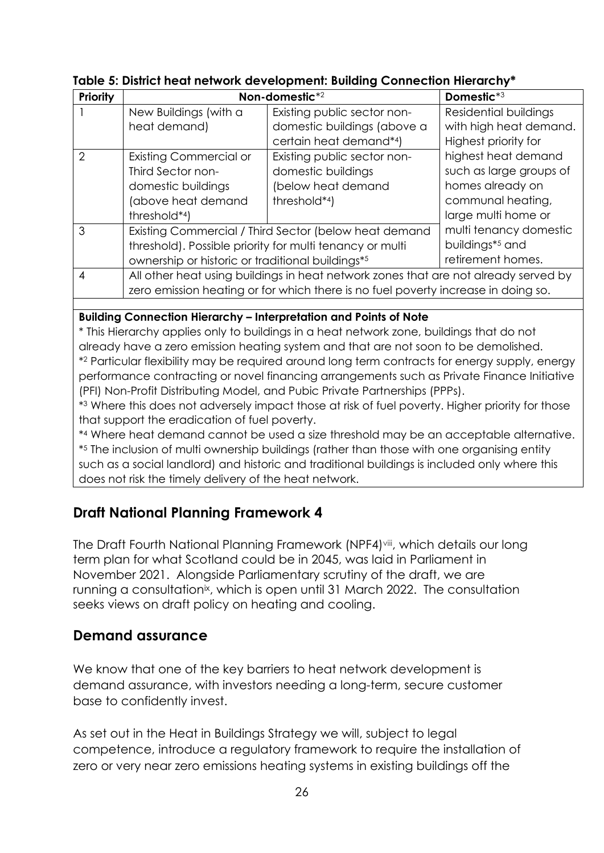| <b>Priority</b> | Non-domestic*2                                                                      |                             | Domestic*3                  |
|-----------------|-------------------------------------------------------------------------------------|-----------------------------|-----------------------------|
|                 | New Buildings (with a                                                               | Existing public sector non- | Residential buildings       |
|                 | heat demand)                                                                        | domestic buildings (above a | with high heat demand.      |
|                 |                                                                                     | certain heat demand*4)      | Highest priority for        |
| 2               | <b>Existing Commercial or</b>                                                       | Existing public sector non- | highest heat demand         |
|                 | Third Sector non-                                                                   | domestic buildings          | such as large groups of     |
|                 | domestic buildings                                                                  | (below heat demand          | homes already on            |
|                 | (above heat demand                                                                  | threshold*4)                | communal heating,           |
|                 | threshold*4)                                                                        |                             | large multi home or         |
| 3               | Existing Commercial / Third Sector (below heat demand                               |                             | multi tenancy domestic      |
|                 | threshold). Possible priority for multi tenancy or multi                            |                             | buildings <sup>*5</sup> and |
|                 | ownership or historic or traditional buildings*5                                    |                             | retirement homes.           |
| 4               | All other heat using buildings in heat network zones that are not already served by |                             |                             |
|                 | zero emission heating or for which there is no fuel poverty increase in doing so.   |                             |                             |

#### **Table 5: District heat network development: Building Connection Hierarchy\***

**Building Connection Hierarchy – Interpretation and Points of Note**

\* This Hierarchy applies only to buildings in a heat network zone, buildings that do not already have a zero emission heating system and that are not soon to be demolished.

\* <sup>2</sup> Particular flexibility may be required around long term contracts for energy supply, energy performance contracting or novel financing arrangements such as Private Finance Initiative (PFI) Non-Profit Distributing Model, and Pubic Private Partnerships (PPPs).

\* <sup>3</sup> Where this does not adversely impact those at risk of fuel poverty. Higher priority for those that support the eradication of fuel poverty.

\* <sup>4</sup> Where heat demand cannot be used a size threshold may be an acceptable alternative. \* <sup>5</sup> The inclusion of multi ownership buildings (rather than those with one organising entity such as a social landlord) and historic and traditional buildings is included only where this does not risk the timely delivery of the heat network.

# <span id="page-29-0"></span>**Draft National Planning Framework 4**

The Draft Fourth National Planning Framework (NPF4)<sup>viii</sup>, which details our long term plan for what Scotland could be in 2045, was laid in Parliament in November 2021. Alongside Parliamentary scrutiny of the draft, we are running a consultation<sup>ix</sup>, which is open until 31 March 2022. The consultation seeks views on draft policy on heating and cooling.

#### <span id="page-29-1"></span>**Demand assurance**

We know that one of the key barriers to heat network development is demand assurance, with investors needing a long-term, secure customer base to confidently invest.

As set out in the Heat in Buildings Strategy we will, subject to legal competence, introduce a regulatory framework to require the installation of zero or very near zero emissions heating systems in existing buildings off the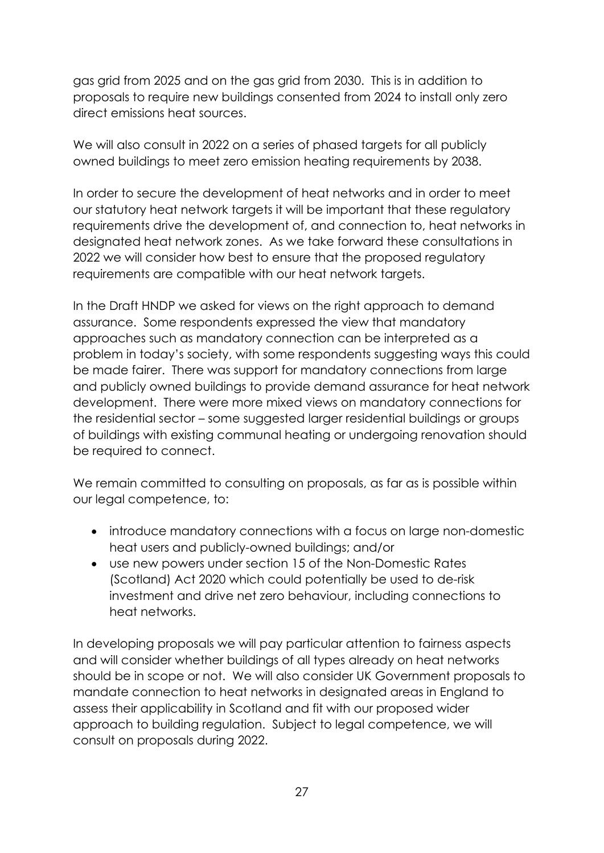gas grid from 2025 and on the gas grid from 2030. This is in addition to proposals to require new buildings consented from 2024 to install only zero direct emissions heat sources.

We will also consult in 2022 on a series of phased targets for all publicly owned buildings to meet zero emission heating requirements by 2038.

In order to secure the development of heat networks and in order to meet our statutory heat network targets it will be important that these regulatory requirements drive the development of, and connection to, heat networks in designated heat network zones. As we take forward these consultations in 2022 we will consider how best to ensure that the proposed regulatory requirements are compatible with our heat network targets.

In the Draft HNDP we asked for views on the right approach to demand assurance. Some respondents expressed the view that mandatory approaches such as mandatory connection can be interpreted as a problem in today's society, with some respondents suggesting ways this could be made fairer. There was support for mandatory connections from large and publicly owned buildings to provide demand assurance for heat network development. There were more mixed views on mandatory connections for the residential sector – some suggested larger residential buildings or groups of buildings with existing communal heating or undergoing renovation should be required to connect.

We remain committed to consulting on proposals, as far as is possible within our legal competence, to:

- introduce mandatory connections with a focus on large non-domestic heat users and publicly-owned buildings; and/or
- use new powers under section 15 of the Non-Domestic Rates (Scotland) Act 2020 which could potentially be used to de-risk investment and drive net zero behaviour, including connections to heat networks.

In developing proposals we will pay particular attention to fairness aspects and will consider whether buildings of all types already on heat networks should be in scope or not. We will also consider UK Government proposals to mandate connection to heat networks in designated areas in England to assess their applicability in Scotland and fit with our proposed wider approach to building regulation. Subject to legal competence, we will consult on proposals during 2022.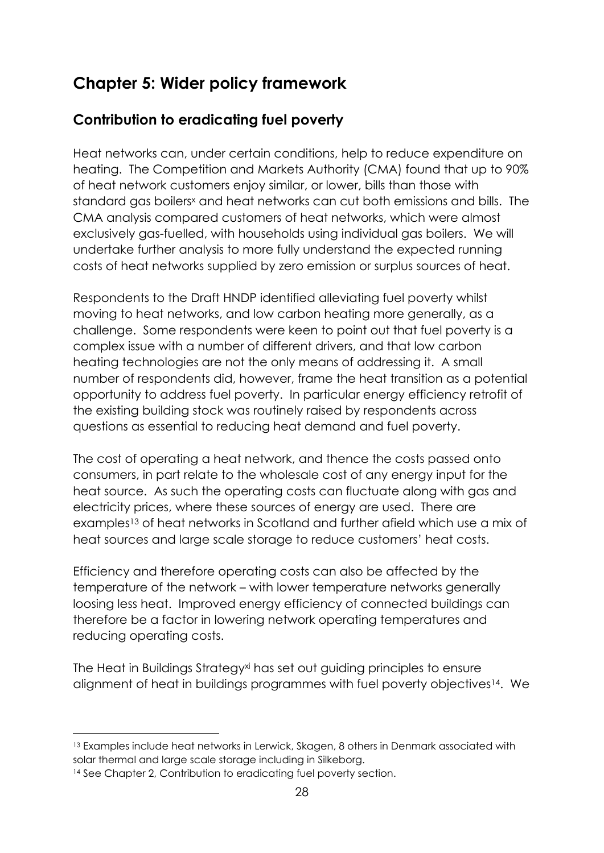# <span id="page-31-0"></span>**Chapter 5: Wider policy framework**

# <span id="page-31-1"></span>**Contribution to eradicating fuel poverty**

Heat networks can, under certain conditions, help to reduce expenditure on heating. The Competition and Markets Authority (CMA) found that up to 90% of heat network customers enjoy similar, or lower, bills than those with standard gas boilers<sup>x</sup> and heat networks can cut both emissions and bills. The CMA analysis compared customers of heat networks, which were almost exclusively gas-fuelled, with households using individual gas boilers. We will undertake further analysis to more fully understand the expected running costs of heat networks supplied by zero emission or surplus sources of heat.

Respondents to the Draft HNDP identified alleviating fuel poverty whilst moving to heat networks, and low carbon heating more generally, as a challenge. Some respondents were keen to point out that fuel poverty is a complex issue with a number of different drivers, and that low carbon heating technologies are not the only means of addressing it. A small number of respondents did, however, frame the heat transition as a potential opportunity to address fuel poverty. In particular energy efficiency retrofit of the existing building stock was routinely raised by respondents across questions as essential to reducing heat demand and fuel poverty.

The cost of operating a heat network, and thence the costs passed onto consumers, in part relate to the wholesale cost of any energy input for the heat source. As such the operating costs can fluctuate along with gas and electricity prices, where these sources of energy are used. There are examples<sup>13</sup> of heat networks in Scotland and further afield which use a mix of heat sources and large scale storage to reduce customers' heat costs.

Efficiency and therefore operating costs can also be affected by the temperature of the network – with lower temperature networks generally loosing less heat. Improved energy efficiency of connected buildings can therefore be a factor in lowering network operating temperatures and reducing operating costs.

The Heat in Buildings Strategyxi has set out guiding principles to ensure alignment of heat in buildings programmes with fuel poverty objectives14. We

1

<sup>&</sup>lt;sup>13</sup> Examples include heat networks in Lerwick, Skagen, 8 others in Denmark associated with solar thermal and large scale storage including in Silkeborg.

<sup>14</sup> See Chapter 2, Contribution to eradicating fuel poverty section.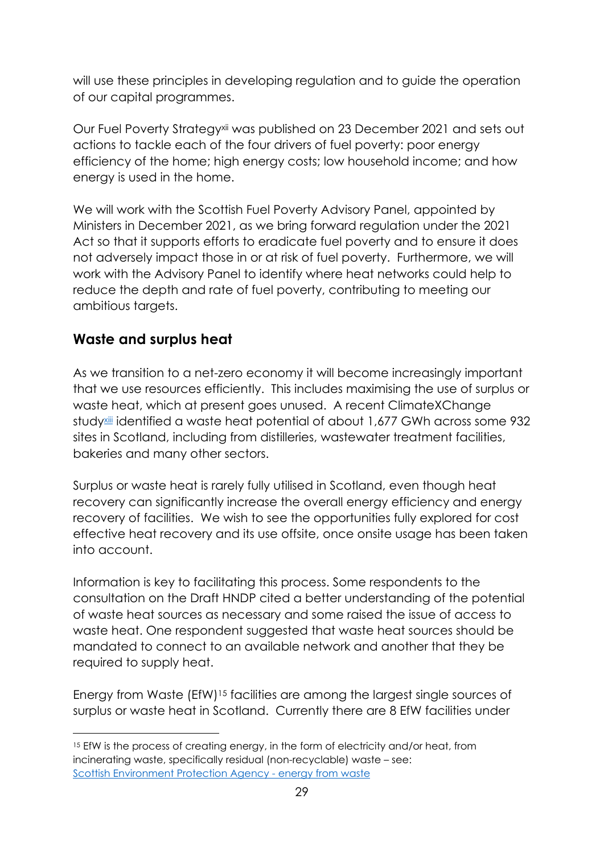will use these principles in developing regulation and to guide the operation of our capital programmes.

Our Fuel Poverty Strategyxii was published on 23 December 2021 and sets out actions to tackle each of the four drivers of fuel poverty: poor energy efficiency of the home; high energy costs; low household income; and how energy is used in the home.

We will work with the Scottish Fuel Poverty Advisory Panel, appointed by Ministers in December 2021, as we bring forward regulation under the 2021 Act so that it supports efforts to eradicate fuel poverty and to ensure it does not adversely impact those in or at risk of fuel poverty. Furthermore, we will work with the Advisory Panel to identify where heat networks could help to reduce the depth and rate of fuel poverty, contributing to meeting our ambitious targets.

### <span id="page-32-0"></span>**Waste and surplus heat**

1

As we transition to a net-zero economy it will become increasingly important that we use resources efficiently. This includes maximising the use of surplus or waste heat, which at present goes unused. A recent ClimateXChange studyxiii identified a waste heat potential of about 1,677 GWh across some 932 sites in Scotland, including from distilleries, wastewater treatment facilities, bakeries and many other sectors.

Surplus or waste heat is rarely fully utilised in Scotland, even though heat recovery can significantly increase the overall energy efficiency and energy recovery of facilities. We wish to see the opportunities fully explored for cost effective heat recovery and its use offsite, once onsite usage has been taken into account.

Information is key to facilitating this process. Some respondents to the consultation on the Draft HNDP cited a better understanding of the potential of waste heat sources as necessary and some raised the issue of access to waste heat. One respondent suggested that waste heat sources should be mandated to connect to an available network and another that they be required to supply heat.

Energy from Waste (EfW)<sup>15</sup> facilities are among the largest single sources of surplus or waste heat in Scotland. Currently there are 8 EfW facilities under

<sup>&</sup>lt;sup>15</sup> EfW is the process of creating energy, in the form of electricity and/or heat, from incinerating waste, specifically residual (non-recyclable) waste – see: [Scottish Environment Protection Agency -](https://www.sepa.org.uk/media/28979/energy-from-waste_faqs.pdf) energy from waste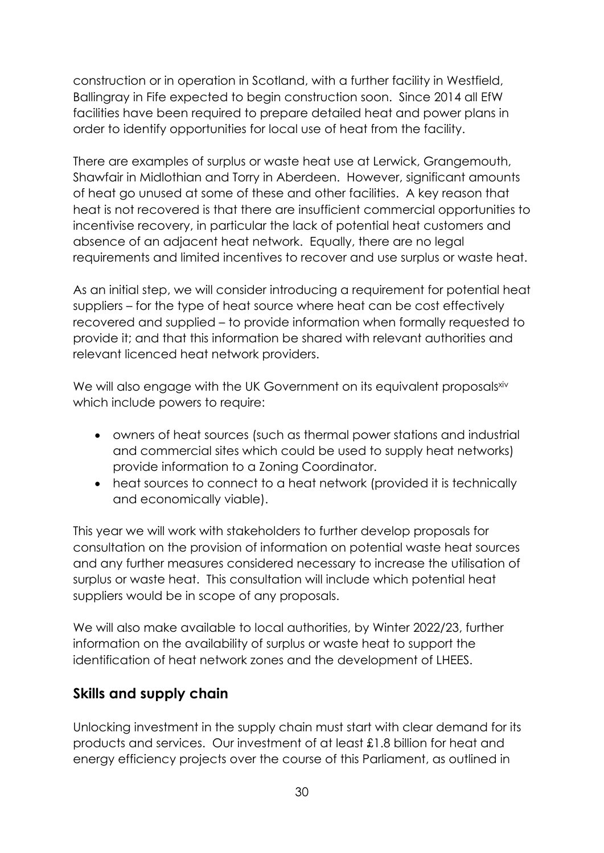construction or in operation in Scotland, with a further facility in Westfield, Ballingray in Fife expected to begin construction soon. Since 2014 all EfW facilities have been required to prepare detailed heat and power plans in order to identify opportunities for local use of heat from the facility.

There are examples of surplus or waste heat use at Lerwick, Grangemouth, Shawfair in Midlothian and Torry in Aberdeen. However, significant amounts of heat go unused at some of these and other facilities. A key reason that heat is not recovered is that there are insufficient commercial opportunities to incentivise recovery, in particular the lack of potential heat customers and absence of an adjacent heat network. Equally, there are no legal requirements and limited incentives to recover and use surplus or waste heat.

As an initial step, we will consider introducing a requirement for potential heat suppliers – for the type of heat source where heat can be cost effectively recovered and supplied – to provide information when formally requested to provide it; and that this information be shared with relevant authorities and relevant licenced heat network providers.

We will also engage with the UK Government on its equivalent proposals *xiv* which include powers to require:

- owners of heat sources (such as thermal power stations and industrial and commercial sites which could be used to supply heat networks) provide information to a Zoning Coordinator.
- heat sources to connect to a heat network (provided it is technically and economically viable).

This year we will work with stakeholders to further develop proposals for consultation on the provision of information on potential waste heat sources and any further measures considered necessary to increase the utilisation of surplus or waste heat. This consultation will include which potential heat suppliers would be in scope of any proposals.

We will also make available to local authorities, by Winter 2022/23, further information on the availability of surplus or waste heat to support the identification of heat network zones and the development of LHEES.

### <span id="page-33-0"></span>**Skills and supply chain**

Unlocking investment in the supply chain must start with clear demand for its products and services. Our investment of at least £1.8 billion for heat and energy efficiency projects over the course of this Parliament, as outlined in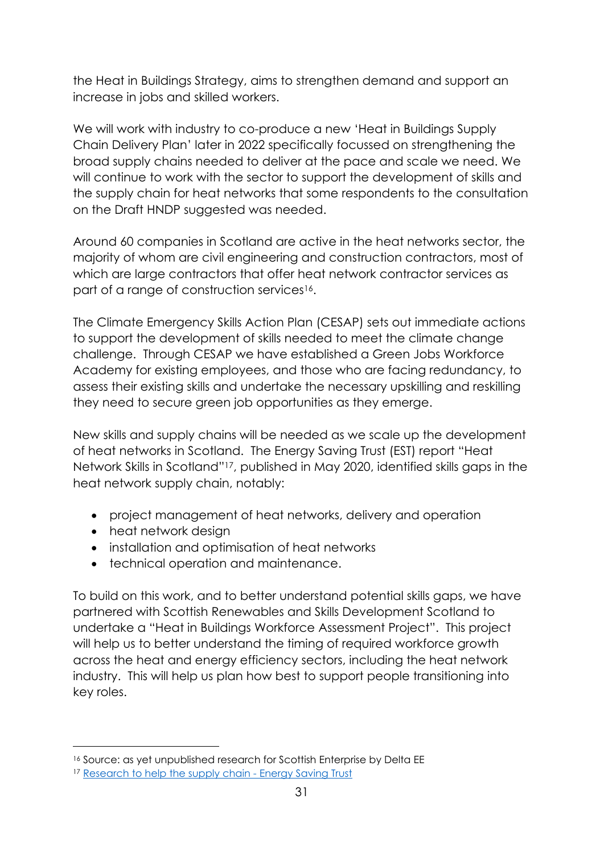the Heat in Buildings Strategy, aims to strengthen demand and support an increase in jobs and skilled workers.

We will work with industry to co-produce a new 'Heat in Buildings Supply Chain Delivery Plan' later in 2022 specifically focussed on strengthening the broad supply chains needed to deliver at the pace and scale we need. We will continue to work with the sector to support the development of skills and the supply chain for heat networks that some respondents to the consultation on the Draft HNDP suggested was needed.

Around 60 companies in Scotland are active in the heat networks sector, the majority of whom are civil engineering and construction contractors, most of which are large contractors that offer heat network contractor services as part of a range of construction services<sup>16</sup>.

The Climate Emergency Skills Action Plan (CESAP) sets out immediate actions to support the development of skills needed to meet the climate change challenge. Through CESAP we have established a Green Jobs Workforce Academy for existing employees, and those who are facing redundancy, to assess their existing skills and undertake the necessary upskilling and reskilling they need to secure green job opportunities as they emerge.

New skills and supply chains will be needed as we scale up the development of heat networks in Scotland. The Energy Saving Trust (EST) report "Heat Network Skills in Scotland" <sup>17</sup>, published in May 2020, identified skills gaps in the heat network supply chain, notably:

- project management of heat networks, delivery and operation
- heat network design

 $\overline{a}$ 

- installation and optimisation of heat networks
- technical operation and maintenance.

To build on this work, and to better understand potential skills gaps, we have partnered with Scottish Renewables and Skills Development Scotland to undertake a "Heat in Buildings Workforce Assessment Project". This project will help us to better understand the timing of required workforce growth across the heat and energy efficiency sectors, including the heat network industry. This will help us plan how best to support people transitioning into key roles.

<sup>16</sup> Source: as yet unpublished research for Scottish Enterprise by Delta EE

<sup>17</sup> [Research to help the supply chain -](https://energysavingtrust.org.uk/service/supply-chain-research/) Energy Saving Trust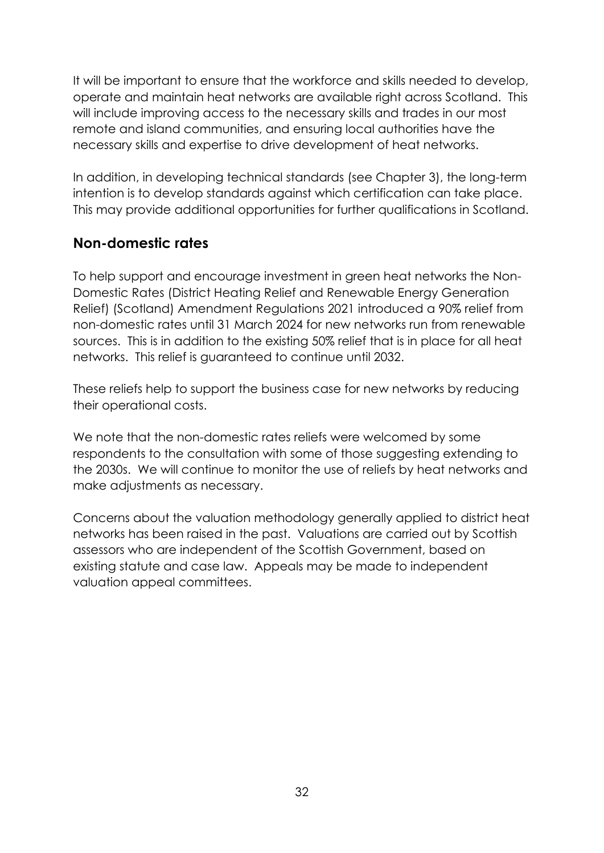It will be important to ensure that the workforce and skills needed to develop, operate and maintain heat networks are available right across Scotland. This will include improving access to the necessary skills and trades in our most remote and island communities, and ensuring local authorities have the necessary skills and expertise to drive development of heat networks.

In addition, in developing technical standards (see Chapter 3), the long-term intention is to develop standards against which certification can take place. This may provide additional opportunities for further qualifications in Scotland.

### <span id="page-35-0"></span>**Non-domestic rates**

To help support and encourage investment in green heat networks the Non-Domestic Rates (District Heating Relief and Renewable Energy Generation Relief) (Scotland) Amendment Regulations 2021 introduced a 90% relief from non-domestic rates until 31 March 2024 for new networks run from renewable sources. This is in addition to the existing 50% relief that is in place for all heat networks. This relief is guaranteed to continue until 2032.

These reliefs help to support the business case for new networks by reducing their operational costs.

We note that the non-domestic rates reliefs were welcomed by some respondents to the consultation with some of those suggesting extending to the 2030s. We will continue to monitor the use of reliefs by heat networks and make adjustments as necessary.

Concerns about the valuation methodology generally applied to district heat networks has been raised in the past. Valuations are carried out by Scottish assessors who are independent of the Scottish Government, based on existing statute and case law. Appeals may be made to independent valuation appeal committees.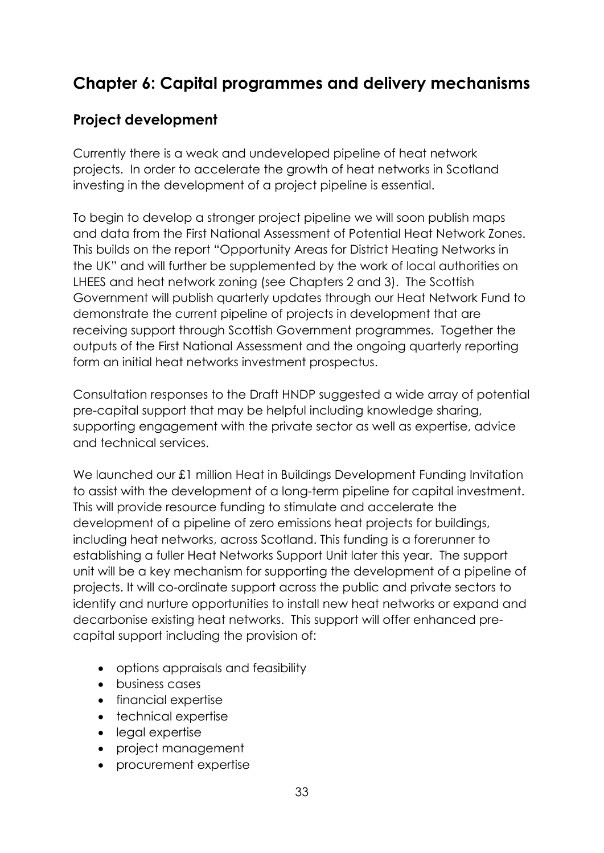# <span id="page-36-0"></span>**Chapter 6: Capital programmes and delivery mechanisms**

### <span id="page-36-1"></span>**Project development**

Currently there is a weak and undeveloped pipeline of heat network projects. In order to accelerate the growth of heat networks in Scotland investing in the development of a project pipeline is essential.

To begin to develop a stronger project pipeline we will soon publish maps and data from the First National Assessment of Potential Heat Network Zones. This builds on the report "Opportunity Areas for District Heating Networks in the UK" and will further be supplemented by the work of local authorities on LHEES and heat network zoning (see Chapters 2 and 3). The Scottish Government will publish quarterly updates through our Heat Network Fund to demonstrate the current pipeline of projects in development that are receiving support through Scottish Government programmes. Together the outputs of the First National Assessment and the ongoing quarterly reporting form an initial heat networks investment prospectus.

Consultation responses to the Draft HNDP suggested a wide array of potential pre-capital support that may be helpful including knowledge sharing, supporting engagement with the private sector as well as expertise, advice and technical services.

We launched our £1 million Heat in Buildings Development Funding Invitation to assist with the development of a long-term pipeline for capital investment. This will provide resource funding to stimulate and accelerate the development of a pipeline of zero emissions heat projects for buildings, including heat networks, across Scotland. This funding is a forerunner to establishing a fuller Heat Networks Support Unit later this year. The support unit will be a key mechanism for supporting the development of a pipeline of projects. It will co-ordinate support across the public and private sectors to identify and nurture opportunities to install new heat networks or expand and decarbonise existing heat networks. This support will offer enhanced precapital support including the provision of:

- options appraisals and feasibility
- business cases
- financial expertise
- technical expertise
- legal expertise
- project management
- procurement expertise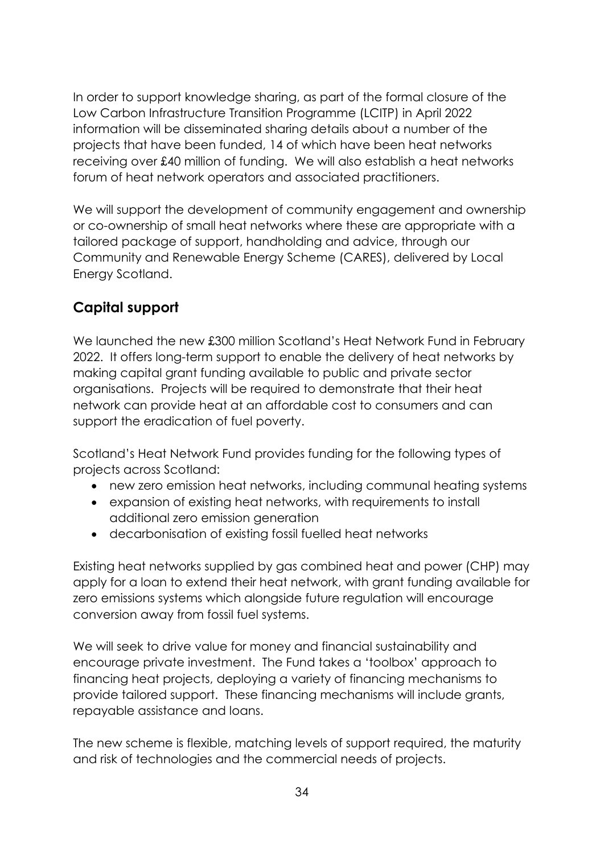In order to support knowledge sharing, as part of the formal closure of the Low Carbon Infrastructure Transition Programme (LCITP) in April 2022 information will be disseminated sharing details about a number of the projects that have been funded, 14 of which have been heat networks receiving over £40 million of funding. We will also establish a heat networks forum of heat network operators and associated practitioners.

We will support the development of community engagement and ownership or co-ownership of small heat networks where these are appropriate with a tailored package of support, handholding and advice, through our Community and Renewable Energy Scheme (CARES), delivered by Local Energy Scotland.

### <span id="page-37-0"></span>**Capital support**

We launched the new £300 million Scotland's Heat Network Fund in February 2022. It offers long-term support to enable the delivery of heat networks by making capital grant funding available to public and private sector organisations. Projects will be required to demonstrate that their heat network can provide heat at an affordable cost to consumers and can support the eradication of fuel poverty.

Scotland's Heat Network Fund provides funding for the following types of projects across Scotland:

- new zero emission heat networks, including communal heating systems
- expansion of existing heat networks, with requirements to install additional zero emission generation
- decarbonisation of existing fossil fuelled heat networks

Existing heat networks supplied by gas combined heat and power (CHP) may apply for a loan to extend their heat network, with grant funding available for zero emissions systems which alongside future regulation will encourage conversion away from fossil fuel systems.

We will seek to drive value for money and financial sustainability and encourage private investment. The Fund takes a 'toolbox' approach to financing heat projects, deploying a variety of financing mechanisms to provide tailored support. These financing mechanisms will include grants, repayable assistance and loans.

The new scheme is flexible, matching levels of support required, the maturity and risk of technologies and the commercial needs of projects.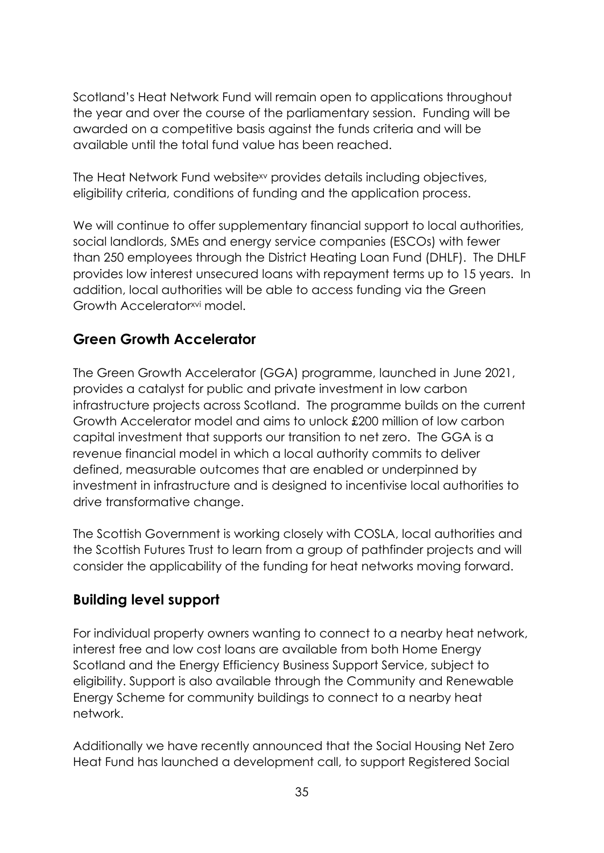Scotland's Heat Network Fund will remain open to applications throughout the year and over the course of the parliamentary session. Funding will be awarded on a competitive basis against the funds criteria and will be available until the total fund value has been reached.

The Heat Network Fund websitexv provides details including objectives, eligibility criteria, conditions of funding and the application process.

We will continue to offer supplementary financial support to local authorities, social landlords, SMEs and energy service companies (ESCOs) with fewer than 250 employees through the District Heating Loan Fund (DHLF). The DHLF provides low interest unsecured loans with repayment terms up to 15 years. In addition, local authorities will be able to access funding via the Green Growth Acceleratorxvi model.

### <span id="page-38-0"></span>**Green Growth Accelerator**

The Green Growth Accelerator (GGA) programme, launched in June 2021, provides a catalyst for public and private investment in low carbon infrastructure projects across Scotland. The programme builds on the current Growth Accelerator model and aims to unlock £200 million of low carbon capital investment that supports our transition to net zero. The GGA is a revenue financial model in which a local authority commits to deliver defined, measurable outcomes that are enabled or underpinned by investment in infrastructure and is designed to incentivise local authorities to drive transformative change.

The Scottish Government is working closely with COSLA, local authorities and the Scottish Futures Trust to learn from a group of pathfinder projects and will consider the applicability of the funding for heat networks moving forward.

# <span id="page-38-1"></span>**Building level support**

For individual property owners wanting to connect to a nearby heat network, interest free and low cost loans are available from both Home Energy Scotland and the Energy Efficiency Business Support Service, subject to eligibility. Support is also available through the Community and Renewable Energy Scheme for community buildings to connect to a nearby heat network.

Additionally we have recently announced that the Social Housing Net Zero Heat Fund has launched a development call, to support Registered Social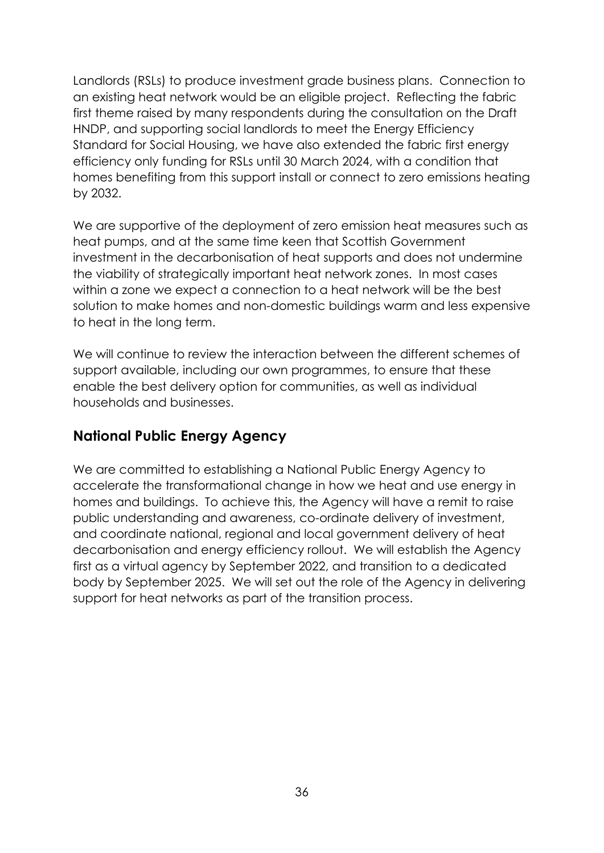Landlords (RSLs) to produce investment grade business plans. Connection to an existing heat network would be an eligible project. Reflecting the fabric first theme raised by many respondents during the consultation on the Draft HNDP, and supporting social landlords to meet the Energy Efficiency Standard for Social Housing, we have also extended the fabric first energy efficiency only funding for RSLs until 30 March 2024, with a condition that homes benefiting from this support install or connect to zero emissions heating by 2032.

We are supportive of the deployment of zero emission heat measures such as heat pumps, and at the same time keen that Scottish Government investment in the decarbonisation of heat supports and does not undermine the viability of strategically important heat network zones. In most cases within a zone we expect a connection to a heat network will be the best solution to make homes and non-domestic buildings warm and less expensive to heat in the long term.

We will continue to review the interaction between the different schemes of support available, including our own programmes, to ensure that these enable the best delivery option for communities, as well as individual households and businesses.

### <span id="page-39-0"></span>**National Public Energy Agency**

We are committed to establishing a National Public Energy Agency to accelerate the transformational change in how we heat and use energy in homes and buildings. To achieve this, the Agency will have a remit to raise public understanding and awareness, co-ordinate delivery of investment, and coordinate national, regional and local government delivery of heat decarbonisation and energy efficiency rollout. We will establish the Agency first as a virtual agency by September 2022, and transition to a dedicated body by September 2025. We will set out the role of the Agency in delivering support for heat networks as part of the transition process.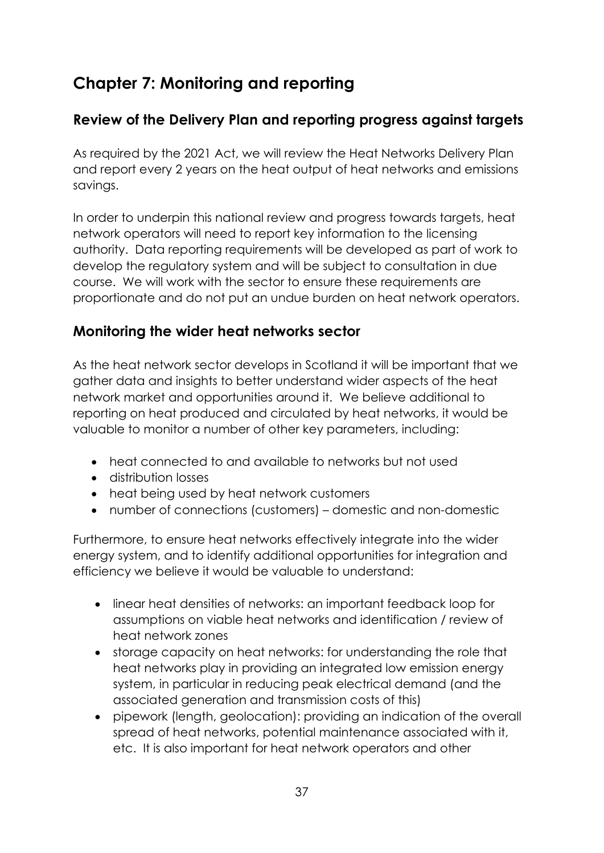# <span id="page-40-0"></span>**Chapter 7: Monitoring and reporting**

### <span id="page-40-1"></span>**Review of the Delivery Plan and reporting progress against targets**

As required by the 2021 Act, we will review the Heat Networks Delivery Plan and report every 2 years on the heat output of heat networks and emissions savings.

In order to underpin this national review and progress towards targets, heat network operators will need to report key information to the licensing authority. Data reporting requirements will be developed as part of work to develop the regulatory system and will be subject to consultation in due course. We will work with the sector to ensure these requirements are proportionate and do not put an undue burden on heat network operators.

### <span id="page-40-2"></span>**Monitoring the wider heat networks sector**

As the heat network sector develops in Scotland it will be important that we gather data and insights to better understand wider aspects of the heat network market and opportunities around it. We believe additional to reporting on heat produced and circulated by heat networks, it would be valuable to monitor a number of other key parameters, including:

- heat connected to and available to networks but not used
- distribution losses
- heat being used by heat network customers
- number of connections (customers) domestic and non-domestic

Furthermore, to ensure heat networks effectively integrate into the wider energy system, and to identify additional opportunities for integration and efficiency we believe it would be valuable to understand:

- linear heat densities of networks: an important feedback loop for assumptions on viable heat networks and identification / review of heat network zones
- storage capacity on heat networks: for understanding the role that heat networks play in providing an integrated low emission energy system, in particular in reducing peak electrical demand (and the associated generation and transmission costs of this)
- pipework (length, geolocation): providing an indication of the overall spread of heat networks, potential maintenance associated with it, etc. It is also important for heat network operators and other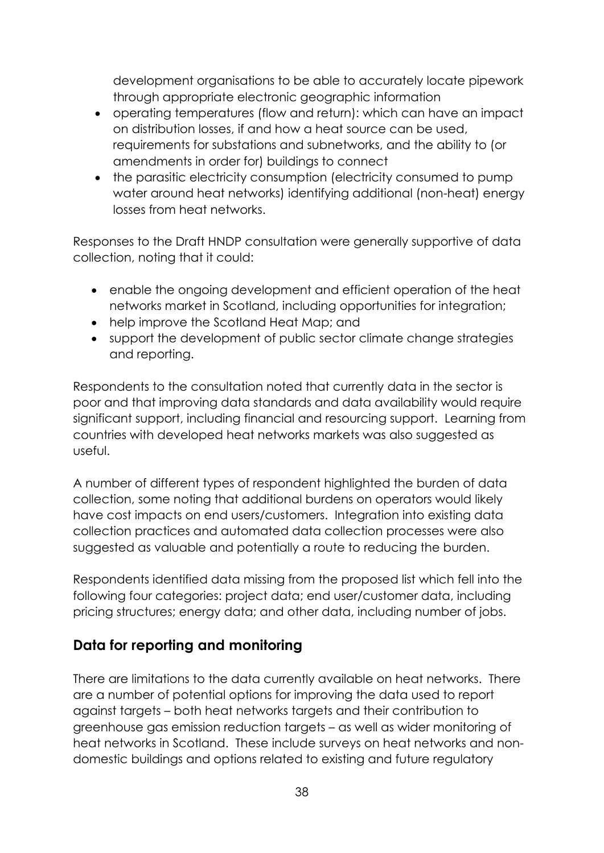development organisations to be able to accurately locate pipework through appropriate electronic geographic information

- operating temperatures (flow and return): which can have an impact on distribution losses, if and how a heat source can be used, requirements for substations and subnetworks, and the ability to (or amendments in order for) buildings to connect
- the parasitic electricity consumption (electricity consumed to pump water around heat networks) identifying additional (non-heat) energy losses from heat networks.

Responses to the Draft HNDP consultation were generally supportive of data collection, noting that it could:

- enable the ongoing development and efficient operation of the heat networks market in Scotland, including opportunities for integration;
- help improve the Scotland Heat Map; and
- support the development of public sector climate change strategies and reporting.

Respondents to the consultation noted that currently data in the sector is poor and that improving data standards and data availability would require significant support, including financial and resourcing support. Learning from countries with developed heat networks markets was also suggested as useful.

A number of different types of respondent highlighted the burden of data collection, some noting that additional burdens on operators would likely have cost impacts on end users/customers. Integration into existing data collection practices and automated data collection processes were also suggested as valuable and potentially a route to reducing the burden.

Respondents identified data missing from the proposed list which fell into the following four categories: project data; end user/customer data, including pricing structures; energy data; and other data, including number of jobs.

### <span id="page-41-0"></span>**Data for reporting and monitoring**

There are limitations to the data currently available on heat networks. There are a number of potential options for improving the data used to report against targets – both heat networks targets and their contribution to greenhouse gas emission reduction targets – as well as wider monitoring of heat networks in Scotland. These include surveys on heat networks and nondomestic buildings and options related to existing and future regulatory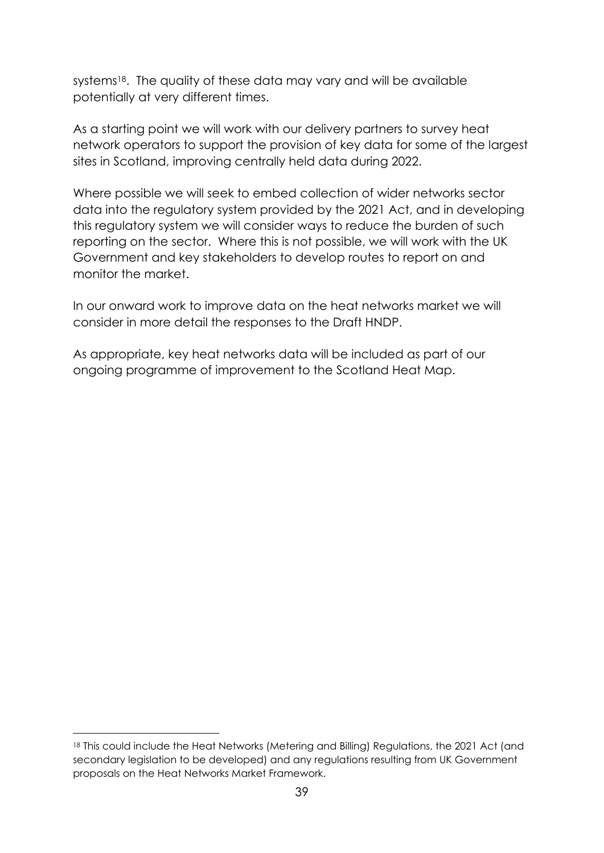systems<sup>18</sup>. The quality of these data may vary and will be available potentially at very different times.

As a starting point we will work with our delivery partners to survey heat network operators to support the provision of key data for some of the largest sites in Scotland, improving centrally held data during 2022.

Where possible we will seek to embed collection of wider networks sector data into the regulatory system provided by the 2021 Act, and in developing this regulatory system we will consider ways to reduce the burden of such reporting on the sector. Where this is not possible, we will work with the UK Government and key stakeholders to develop routes to report on and monitor the market.

In our onward work to improve data on the heat networks market we will consider in more detail the responses to the Draft HNDP.

As appropriate, key heat networks data will be included as part of our ongoing programme of improvement to the Scotland Heat Map.

1

<sup>18</sup> This could include the Heat Networks (Metering and Billing) Regulations, the 2021 Act (and secondary legislation to be developed) and any regulations resulting from UK Government proposals on the Heat Networks Market Framework.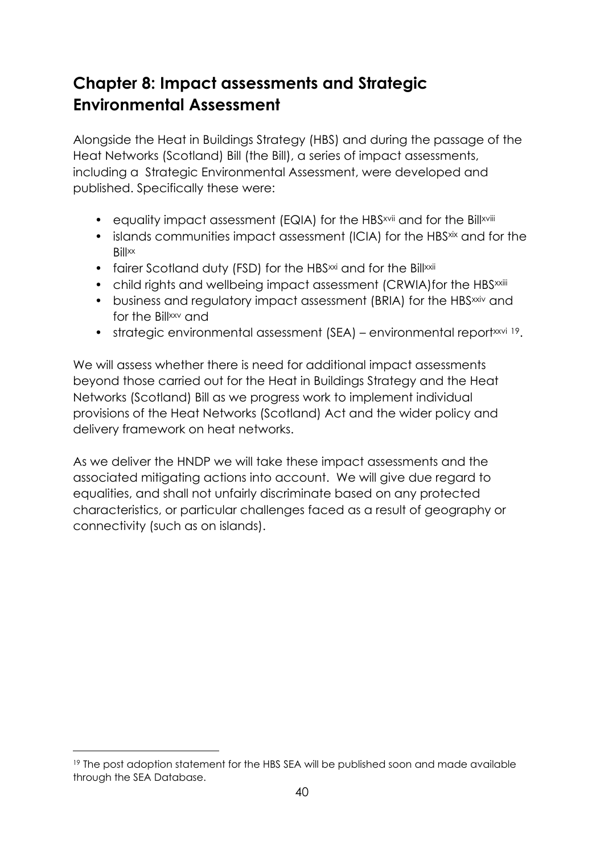# <span id="page-43-0"></span>**Chapter 8: Impact assessments and Strategic Environmental Assessment**

Alongside the Heat in Buildings Strategy (HBS) and during the passage of the Heat Networks (Scotland) Bill (the Bill), a series of impact assessments, including a Strategic Environmental Assessment, were developed and published. Specifically these were:

- equality impact assessment (EQIA) for the HBS<sup>xvii</sup> and for the Billxviii
- islands communities impact assessment (ICIA) for the HBSxix and for the **Bill**<sub>xx</sub>
- fairer Scotland duty (FSD) for the HBS<sup>xxi</sup> and for the Billxxii
- child rights and wellbeing impact assessment (CRWIA) for the HBS<sup>xxiii</sup>
- business and regulatory impact assessment (BRIA) for the HBS<sup>xxiv</sup> and for the Billxxy and
- strategic environmental assessment (SEA) environmental reportxxvi 19.

We will assess whether there is need for additional impact assessments beyond those carried out for the Heat in Buildings Strategy and the Heat Networks (Scotland) Bill as we progress work to implement individual provisions of the Heat Networks (Scotland) Act and the wider policy and delivery framework on heat networks.

As we deliver the HNDP we will take these impact assessments and the associated mitigating actions into account. We will give due regard to equalities, and shall not unfairly discriminate based on any protected characteristics, or particular challenges faced as a result of geography or connectivity (such as on islands).

 $\overline{a}$ 

<sup>&</sup>lt;sup>19</sup> The post adoption statement for the HBS SEA will be published soon and made available through the SEA Database.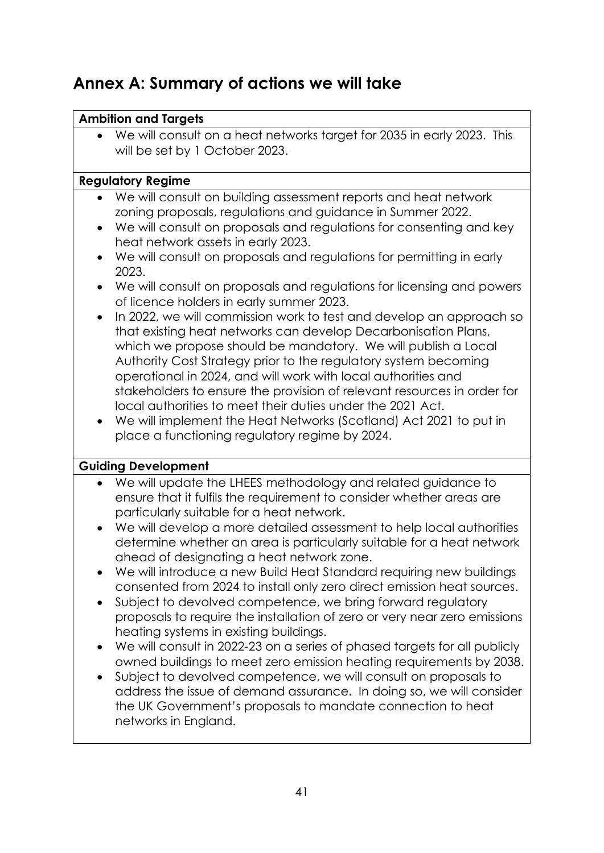# <span id="page-44-0"></span>**Annex A: Summary of actions we will take**

#### **Ambition and Targets**

• We will consult on a heat networks target for 2035 in early 2023. This will be set by 1 October 2023.

#### **Regulatory Regime**

- We will consult on building assessment reports and heat network zoning proposals, regulations and guidance in Summer 2022.
- We will consult on proposals and regulations for consenting and key heat network assets in early 2023.
- We will consult on proposals and regulations for permitting in early 2023.
- We will consult on proposals and regulations for licensing and powers of licence holders in early summer 2023.
- In 2022, we will commission work to test and develop an approach so that existing heat networks can develop Decarbonisation Plans, which we propose should be mandatory. We will publish a Local Authority Cost Strategy prior to the regulatory system becoming operational in 2024, and will work with local authorities and stakeholders to ensure the provision of relevant resources in order for local authorities to meet their duties under the 2021 Act.
- We will implement the Heat Networks (Scotland) Act 2021 to put in place a functioning regulatory regime by 2024.

#### **Guiding Development**

- We will update the LHEES methodology and related guidance to ensure that it fulfils the requirement to consider whether areas are particularly suitable for a heat network.
- We will develop a more detailed assessment to help local authorities determine whether an area is particularly suitable for a heat network ahead of designating a heat network zone.
- We will introduce a new Build Heat Standard requiring new buildings consented from 2024 to install only zero direct emission heat sources.
- Subject to devolved competence, we bring forward regulatory proposals to require the installation of zero or very near zero emissions heating systems in existing buildings.
- We will consult in 2022-23 on a series of phased targets for all publicly owned buildings to meet zero emission heating requirements by 2038.
- Subject to devolved competence, we will consult on proposals to address the issue of demand assurance. In doing so, we will consider the UK Government's proposals to mandate connection to heat networks in England.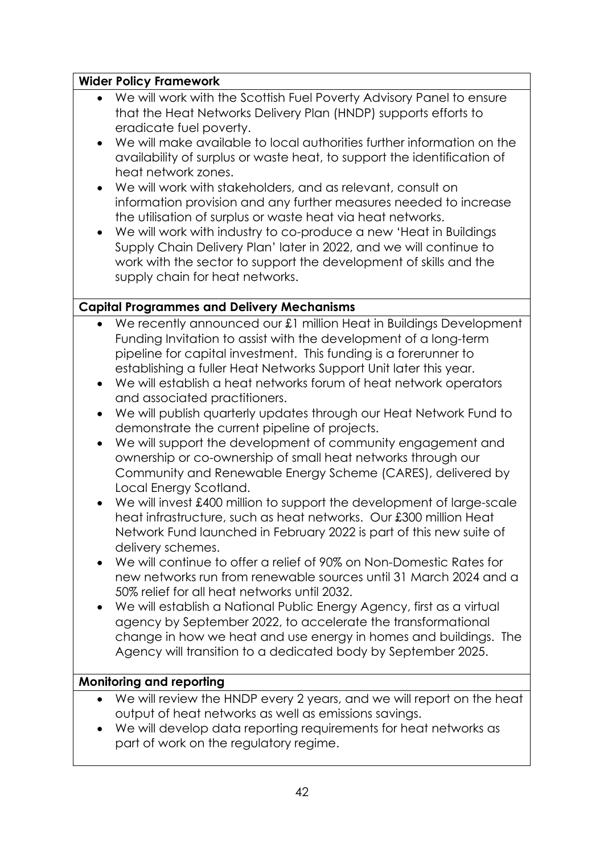#### **Wider Policy Framework**

- We will work with the Scottish Fuel Poverty Advisory Panel to ensure that the Heat Networks Delivery Plan (HNDP) supports efforts to eradicate fuel poverty.
- We will make available to local authorities further information on the availability of surplus or waste heat, to support the identification of heat network zones.
- We will work with stakeholders, and as relevant, consult on information provision and any further measures needed to increase the utilisation of surplus or waste heat via heat networks.
- We will work with industry to co-produce a new 'Heat in Buildings Supply Chain Delivery Plan' later in 2022, and we will continue to work with the sector to support the development of skills and the supply chain for heat networks.

#### **Capital Programmes and Delivery Mechanisms**

- We recently announced our £1 million Heat in Buildings Development Funding Invitation to assist with the development of a long-term pipeline for capital investment. This funding is a forerunner to establishing a fuller Heat Networks Support Unit later this year.
- We will establish a heat networks forum of heat network operators and associated practitioners.
- We will publish quarterly updates through our Heat Network Fund to demonstrate the current pipeline of projects.
- We will support the development of community engagement and ownership or co-ownership of small heat networks through our Community and Renewable Energy Scheme (CARES), delivered by Local Energy Scotland.
- We will invest £400 million to support the development of large-scale heat infrastructure, such as heat networks. Our £300 million Heat Network Fund launched in February 2022 is part of this new suite of delivery schemes.
- We will continue to offer a relief of 90% on Non-Domestic Rates for new networks run from renewable sources until 31 March 2024 and a 50% relief for all heat networks until 2032.
- We will establish a National Public Energy Agency, first as a virtual agency by September 2022, to accelerate the transformational change in how we heat and use energy in homes and buildings. The Agency will transition to a dedicated body by September 2025.

#### **Monitoring and reporting**

- We will review the HNDP every 2 years, and we will report on the heat output of heat networks as well as emissions savings.
- We will develop data reporting requirements for heat networks as part of work on the regulatory regime.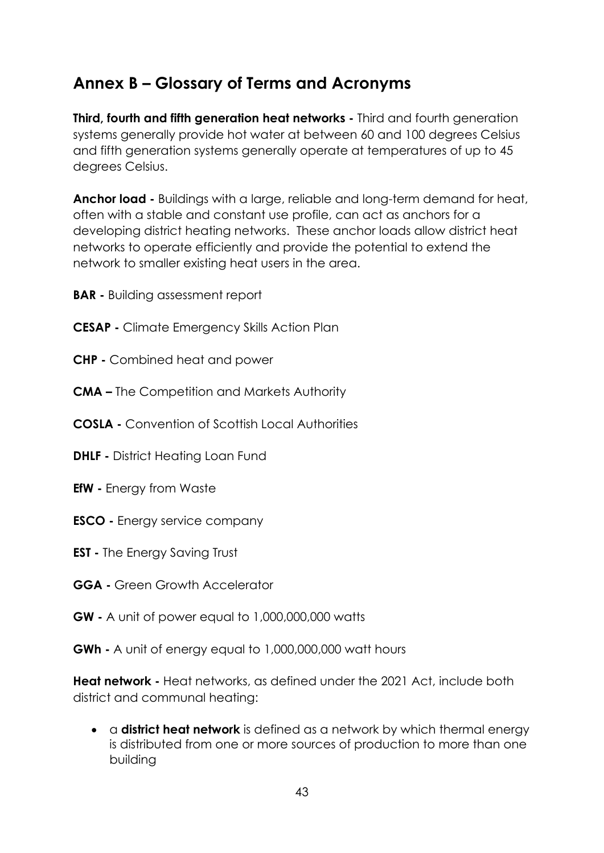# <span id="page-46-0"></span>**Annex B – Glossary of Terms and Acronyms**

**Third, fourth and fifth generation heat networks -** Third and fourth generation systems generally provide hot water at between 60 and 100 degrees Celsius and fifth generation systems generally operate at temperatures of up to 45 degrees Celsius.

**Anchor load -** Buildings with a large, reliable and long-term demand for heat, often with a stable and constant use profile, can act as anchors for a developing district heating networks. These anchor loads allow district heat networks to operate efficiently and provide the potential to extend the network to smaller existing heat users in the area.

**BAR -** Building assessment report

- **CESAP -** Climate Emergency Skills Action Plan
- **CHP -** Combined heat and power
- **CMA –** The Competition and Markets Authority
- **COSLA -** Convention of Scottish Local Authorities
- **DHLF -** District Heating Loan Fund
- **EfW -** Energy from Waste
- **ESCO -** Energy service company
- **EST -** The Energy Saving Trust
- **GGA -** Green Growth Accelerator
- **GW -** A unit of power equal to 1,000,000,000 watts
- **GWh -** A unit of energy equal to 1,000,000,000 watt hours

**Heat network -** Heat networks, as defined under the 2021 Act, include both district and communal heating:

• a **district heat network** is defined as a network by which thermal energy is distributed from one or more sources of production to more than one building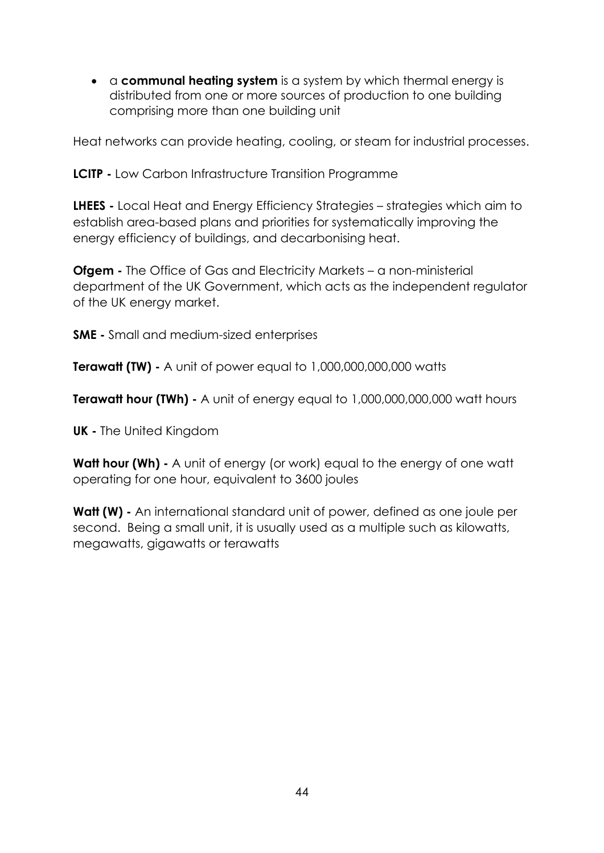• a **communal heating system** is a system by which thermal energy is distributed from one or more sources of production to one building comprising more than one building unit

Heat networks can provide heating, cooling, or steam for industrial processes.

**LCITP -** Low Carbon Infrastructure Transition Programme

**LHEES -** Local Heat and Energy Efficiency Strategies – strategies which aim to establish area-based plans and priorities for systematically improving the energy efficiency of buildings, and decarbonising heat.

**Ofgem -** The Office of Gas and Electricity Markets – a non-ministerial department of the UK Government, which acts as the independent regulator of the UK energy market.

**SME -** Small and medium-sized enterprises

**Terawatt (TW) -** A unit of power equal to 1,000,000,000,000 watts

**Terawatt hour (TWh) -** A unit of energy equal to 1,000,000,000,000 watt hours

**UK -** The United Kingdom

**Watt hour (Wh)** - A unit of energy (or work) equal to the energy of one watt operating for one hour, equivalent to 3600 joules

**Watt (W) -** An international standard unit of power, defined as one joule per second. Being a small unit, it is usually used as a multiple such as kilowatts, megawatts, gigawatts or terawatts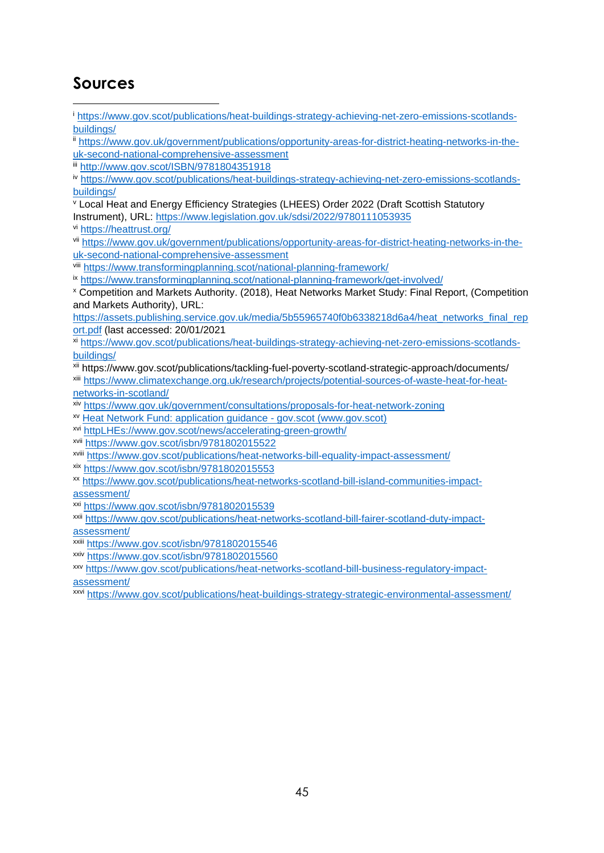# <span id="page-48-0"></span>**Sources**

[buildings/](https://www.gov.scot/publications/heat-buildings-strategy-achieving-net-zero-emissions-scotlands-buildings/)

1

[uk-second-national-comprehensive-assessment](https://www.gov.uk/government/publications/opportunity-areas-for-district-heating-networks-in-the-uk-second-national-comprehensive-assessment) iii <http://www.gov.scot/ISBN/9781804351918> iv [https://www.gov.scot/publications/heat-buildings-strategy-achieving-net-zero-emissions-scotlands](https://www.gov.scot/publications/heat-buildings-strategy-achieving-net-zero-emissions-scotlands-buildings/)[buildings/](https://www.gov.scot/publications/heat-buildings-strategy-achieving-net-zero-emissions-scotlands-buildings/) <sup>v</sup> Local Heat and Energy Efficiency Strategies (LHEES) Order 2022 (Draft Scottish Statutory Instrument), URL:<https://www.legislation.gov.uk/sdsi/2022/9780111053935> vi <https://heattrust.org/> vii [https://www.gov.uk/government/publications/opportunity-areas-for-district-heating-networks-in-the](https://www.gov.uk/government/publications/opportunity-areas-for-district-heating-networks-in-the-uk-second-national-comprehensive-assessment)[uk-second-national-comprehensive-assessment](https://www.gov.uk/government/publications/opportunity-areas-for-district-heating-networks-in-the-uk-second-national-comprehensive-assessment) viii <https://www.transformingplanning.scot/national-planning-framework/> ix <https://www.transformingplanning.scot/national-planning-framework/get-involved/> <sup>x</sup> Competition and Markets Authority. (2018), Heat Networks Market Study: Final Report, (Competition and Markets Authority), URL: [https://assets.publishing.service.gov.uk/media/5b55965740f0b6338218d6a4/heat\\_networks\\_final\\_rep](https://assets.publishing.service.gov.uk/media/5b55965740f0b6338218d6a4/heat_networks_final_report.pdf) [ort.pdf](https://assets.publishing.service.gov.uk/media/5b55965740f0b6338218d6a4/heat_networks_final_report.pdf) (last accessed: 20/01/2021 xi [https://www.gov.scot/publications/heat-buildings-strategy-achieving-net-zero-emissions-scotlands](https://www.gov.scot/publications/heat-buildings-strategy-achieving-net-zero-emissions-scotlands-buildings/)[buildings/](https://www.gov.scot/publications/heat-buildings-strategy-achieving-net-zero-emissions-scotlands-buildings/) xii https://www.gov.scot/publications/tackling-fuel-poverty-scotland-strategic-approach/documents/ xiii [https://www.climatexchange.org.uk/research/projects/potential-sources-of-waste-heat-for-heat](https://www.climatexchange.org.uk/research/projects/potential-sources-of-waste-heat-for-heat-networks-in-scotland/)[networks-in-scotland/](https://www.climatexchange.org.uk/research/projects/potential-sources-of-waste-heat-for-heat-networks-in-scotland/)

<sup>i</sup> [https://www.gov.scot/publications/heat-buildings-strategy-achieving-net-zero-emissions-scotlands-](https://www.gov.scot/publications/heat-buildings-strategy-achieving-net-zero-emissions-scotlands-buildings/)

ii [https://www.gov.uk/government/publications/opportunity-areas-for-district-heating-networks-in-the-](https://www.gov.uk/government/publications/opportunity-areas-for-district-heating-networks-in-the-uk-second-national-comprehensive-assessment)

xiv <https://www.gov.uk/government/consultations/proposals-for-heat-network-zoning>

xv [Heat Network Fund: application guidance -](https://www.gov.scot/publications/heat-network-fund-application-guidance/pages/eligibility/) gov.scot (www.gov.scot)

xvi [httpLHEs://www.gov.scot/news/accelerating-green-growth/](https://www.gov.scot/news/accelerating-green-growth/)

xvii <https://www.gov.scot/isbn/9781802015522>

xviii <https://www.gov.scot/publications/heat-networks-bill-equality-impact-assessment/>

xix <https://www.gov.scot/isbn/9781802015553>

xx [https://www.gov.scot/publications/heat-networks-scotland-bill-island-communities-impact](https://www.gov.scot/publications/heat-networks-scotland-bill-island-communities-impact-assessment/)[assessment/](https://www.gov.scot/publications/heat-networks-scotland-bill-island-communities-impact-assessment/)

xxi <https://www.gov.scot/isbn/9781802015539>

xxii [https://www.gov.scot/publications/heat-networks-scotland-bill-fairer-scotland-duty-impact](https://www.gov.scot/publications/heat-networks-scotland-bill-fairer-scotland-duty-impact-assessment/)[assessment/](https://www.gov.scot/publications/heat-networks-scotland-bill-fairer-scotland-duty-impact-assessment/)

xxiii <https://www.gov.scot/isbn/9781802015546>

xxiv <https://www.gov.scot/isbn/9781802015560>

xxv [https://www.gov.scot/publications/heat-networks-scotland-bill-business-regulatory-impact](https://www.gov.scot/publications/heat-networks-scotland-bill-business-regulatory-impact-assessment/)[assessment/](https://www.gov.scot/publications/heat-networks-scotland-bill-business-regulatory-impact-assessment/)

xxvi <https://www.gov.scot/publications/heat-buildings-strategy-strategic-environmental-assessment/>